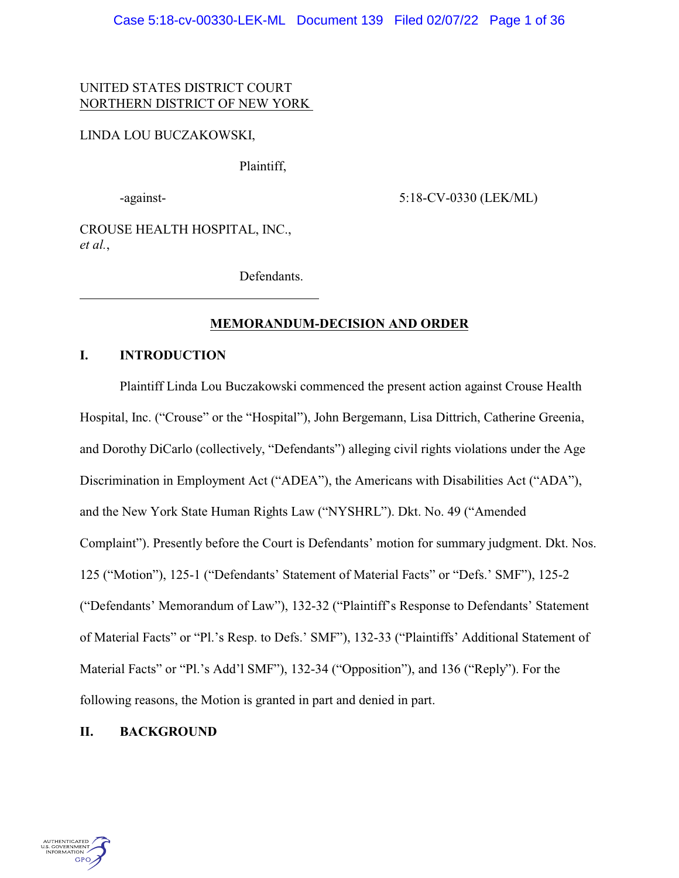# UNITED STATES DISTRICT COURT NORTHERN DISTRICT OF NEW YORK

# LINDA LOU BUCZAKOWSKI,

Plaintiff,

-against- 5:18-CV-0330 (LEK/ML)

CROUSE HEALTH HOSPITAL, INC., *et al.*,

Defendants.

# **MEMORANDUM-DECISION AND ORDER**

# **I. INTRODUCTION**

Plaintiff Linda Lou Buczakowski commenced the present action against Crouse Health Hospital, Inc. ("Crouse" or the "Hospital"), John Bergemann, Lisa Dittrich, Catherine Greenia, and Dorothy DiCarlo (collectively, "Defendants") alleging civil rights violations under the Age Discrimination in Employment Act ("ADEA"), the Americans with Disabilities Act ("ADA"), and the New York State Human Rights Law ("NYSHRL"). Dkt. No. 49 ("Amended Complaint"). Presently before the Court is Defendants' motion for summary judgment. Dkt. Nos. 125 ("Motion"), 125-1 ("Defendants' Statement of Material Facts" or "Defs.' SMF"), 125-2 ("Defendants' Memorandum of Law"), 132-32 ("Plaintiff's Response to Defendants' Statement of Material Facts" or "Pl.'s Resp. to Defs.' SMF"), 132-33 ("Plaintiffs' Additional Statement of Material Facts" or "Pl.'s Add'l SMF"), 132-34 ("Opposition"), and 136 ("Reply"). For the following reasons, the Motion is granted in part and denied in part.

# **II. BACKGROUND**

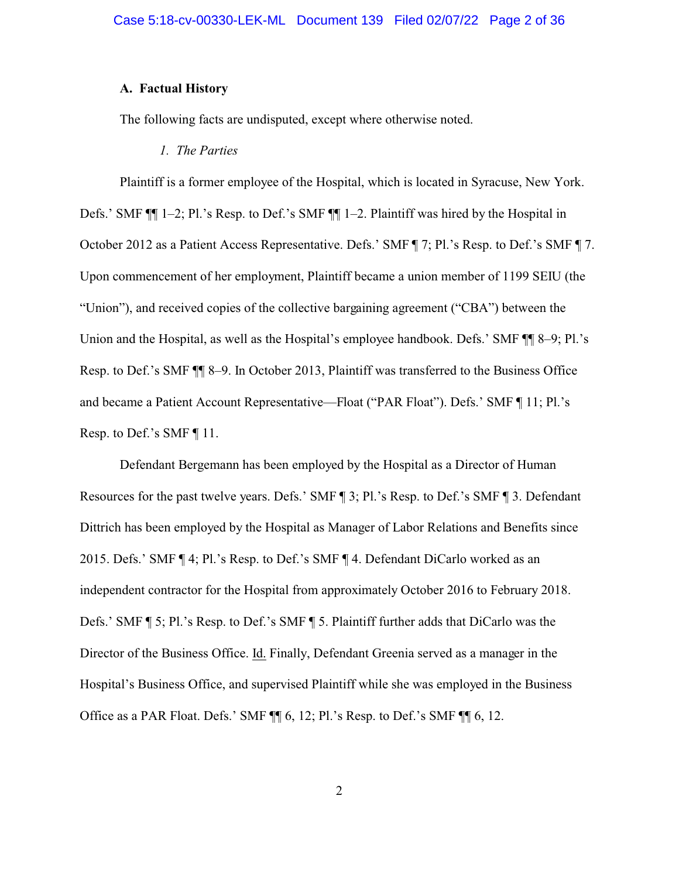# **A. Factual History**

The following facts are undisputed, except where otherwise noted.

*1. The Parties*

Plaintiff is a former employee of the Hospital, which is located in Syracuse, New York. Defs.' SMF ¶¶ 1–2; Pl.'s Resp. to Def.'s SMF ¶¶ 1–2. Plaintiff was hired by the Hospital in October 2012 as a Patient Access Representative. Defs.' SMF ¶ 7; Pl.'s Resp. to Def.'s SMF ¶ 7. Upon commencement of her employment, Plaintiff became a union member of 1199 SEIU (the "Union"), and received copies of the collective bargaining agreement ("CBA") between the Union and the Hospital, as well as the Hospital's employee handbook. Defs.' SMF  $\P$  8–9; Pl.'s Resp. to Def.'s SMF ¶¶ 8–9. In October 2013, Plaintiff was transferred to the Business Office and became a Patient Account Representative—Float ("PAR Float"). Defs.' SMF ¶ 11; Pl.'s Resp. to Def.'s SMF ¶ 11.

Defendant Bergemann has been employed by the Hospital as a Director of Human Resources for the past twelve years. Defs.' SMF ¶ 3; Pl.'s Resp. to Def.'s SMF ¶ 3. Defendant Dittrich has been employed by the Hospital as Manager of Labor Relations and Benefits since 2015. Defs.' SMF ¶ 4; Pl.'s Resp. to Def.'s SMF ¶ 4. Defendant DiCarlo worked as an independent contractor for the Hospital from approximately October 2016 to February 2018. Defs.' SMF ¶ 5; Pl.'s Resp. to Def.'s SMF ¶ 5. Plaintiff further adds that DiCarlo was the Director of the Business Office. Id. Finally, Defendant Greenia served as a manager in the Hospital's Business Office, and supervised Plaintiff while she was employed in the Business Office as a PAR Float. Defs.' SMF ¶¶ 6, 12; Pl.'s Resp. to Def.'s SMF ¶¶ 6, 12.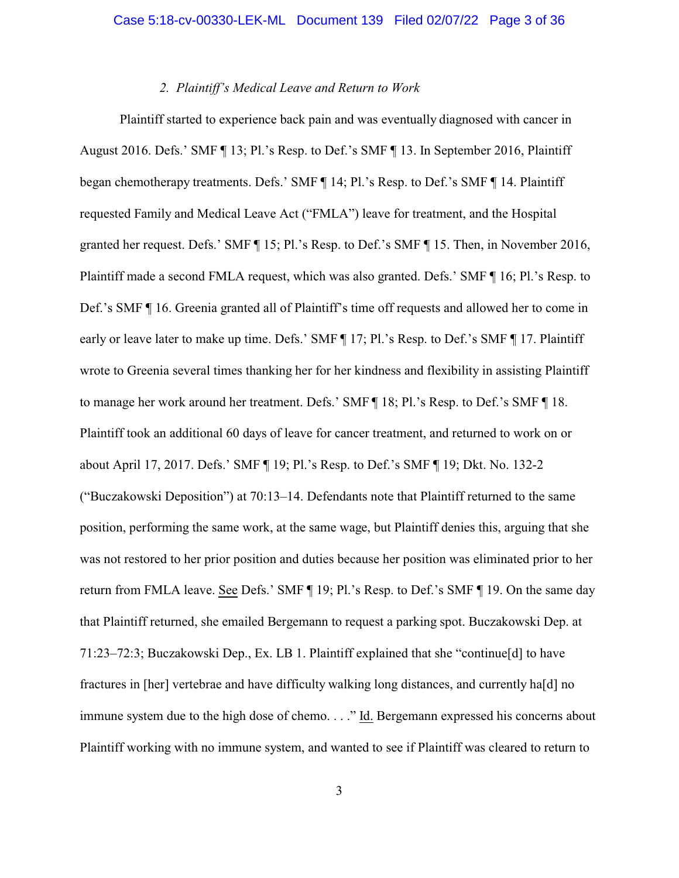### *2. Plaintiff's Medical Leave and Return to Work*

Plaintiff started to experience back pain and was eventually diagnosed with cancer in August 2016. Defs.' SMF ¶ 13; Pl.'s Resp. to Def.'s SMF ¶ 13. In September 2016, Plaintiff began chemotherapy treatments. Defs.' SMF ¶ 14; Pl.'s Resp. to Def.'s SMF ¶ 14. Plaintiff requested Family and Medical Leave Act ("FMLA") leave for treatment, and the Hospital granted her request. Defs.' SMF ¶ 15; Pl.'s Resp. to Def.'s SMF ¶ 15. Then, in November 2016, Plaintiff made a second FMLA request, which was also granted. Defs.' SMF ¶ 16; Pl.'s Resp. to Def.'s SMF ¶ 16. Greenia granted all of Plaintiff's time off requests and allowed her to come in early or leave later to make up time. Defs.' SMF ¶ 17; Pl.'s Resp. to Def.'s SMF ¶ 17. Plaintiff wrote to Greenia several times thanking her for her kindness and flexibility in assisting Plaintiff to manage her work around her treatment. Defs.' SMF ¶ 18; Pl.'s Resp. to Def.'s SMF ¶ 18. Plaintiff took an additional 60 days of leave for cancer treatment, and returned to work on or about April 17, 2017. Defs.' SMF ¶ 19; Pl.'s Resp. to Def.'s SMF ¶ 19; Dkt. No. 132-2 ("Buczakowski Deposition") at 70:13–14. Defendants note that Plaintiff returned to the same position, performing the same work, at the same wage, but Plaintiff denies this, arguing that she was not restored to her prior position and duties because her position was eliminated prior to her return from FMLA leave. See Defs.' SMF ¶ 19; Pl.'s Resp. to Def.'s SMF ¶ 19. On the same day that Plaintiff returned, she emailed Bergemann to request a parking spot. Buczakowski Dep. at 71:23–72:3; Buczakowski Dep., Ex. LB 1. Plaintiff explained that she "continue[d] to have fractures in [her] vertebrae and have difficulty walking long distances, and currently ha[d] no immune system due to the high dose of chemo. . . ." Id. Bergemann expressed his concerns about Plaintiff working with no immune system, and wanted to see if Plaintiff was cleared to return to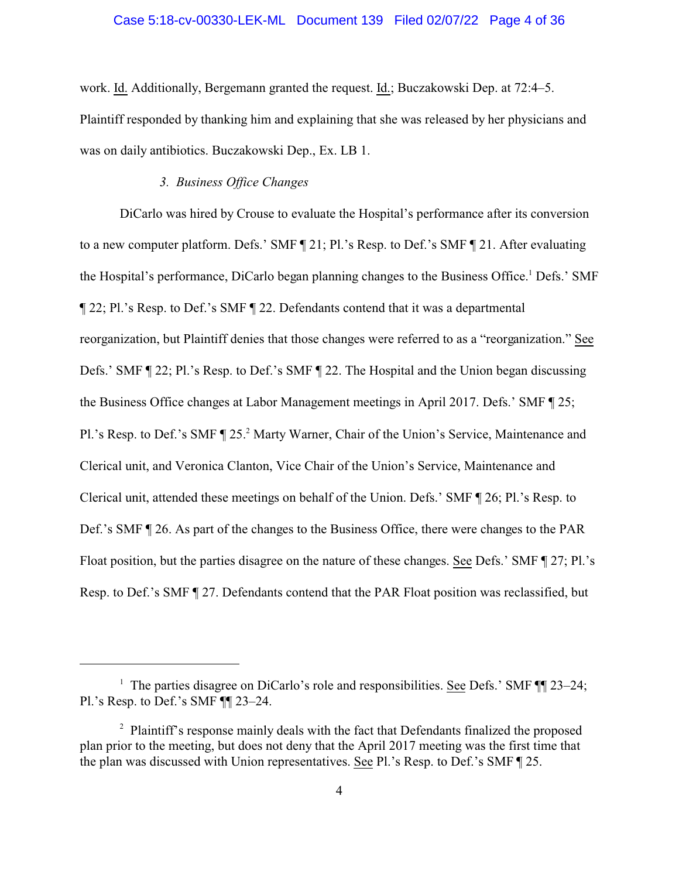### Case 5:18-cv-00330-LEK-ML Document 139 Filed 02/07/22 Page 4 of 36

work. Id. Additionally, Bergemann granted the request. Id.; Buczakowski Dep. at 72:4–5. Plaintiff responded by thanking him and explaining that she was released by her physicians and was on daily antibiotics. Buczakowski Dep., Ex. LB 1.

# *3. Business Office Changes*

DiCarlo was hired by Crouse to evaluate the Hospital's performance after its conversion to a new computer platform. Defs.' SMF ¶ 21; Pl.'s Resp. to Def.'s SMF ¶ 21. After evaluating the Hospital's performance, DiCarlo began planning changes to the Business Office.<sup>1</sup> Defs.' SMF ¶ 22; Pl.'s Resp. to Def.'s SMF ¶ 22. Defendants contend that it was a departmental reorganization, but Plaintiff denies that those changes were referred to as a "reorganization." See Defs.' SMF ¶ 22; Pl.'s Resp. to Def.'s SMF ¶ 22. The Hospital and the Union began discussing the Business Office changes at Labor Management meetings in April 2017. Defs.' SMF ¶ 25; Pl.'s Resp. to Def.'s SMF ¶ 25.<sup>2</sup> Marty Warner, Chair of the Union's Service, Maintenance and Clerical unit, and Veronica Clanton, Vice Chair of the Union's Service, Maintenance and Clerical unit, attended these meetings on behalf of the Union. Defs.' SMF ¶ 26; Pl.'s Resp. to Def.'s SMF ¶ 26. As part of the changes to the Business Office, there were changes to the PAR Float position, but the parties disagree on the nature of these changes. See Defs.' SMF ¶ 27; Pl.'s Resp. to Def.'s SMF ¶ 27. Defendants contend that the PAR Float position was reclassified, but

<sup>&</sup>lt;sup>1</sup> The parties disagree on DiCarlo's role and responsibilities. See Defs.' SMF  $\P$  23–24; Pl.'s Resp. to Def.'s SMF ¶¶ 23–24.

<sup>&</sup>lt;sup>2</sup> Plaintiff's response mainly deals with the fact that Defendants finalized the proposed plan prior to the meeting, but does not deny that the April 2017 meeting was the first time that the plan was discussed with Union representatives. See Pl.'s Resp. to Def.'s SMF ¶ 25.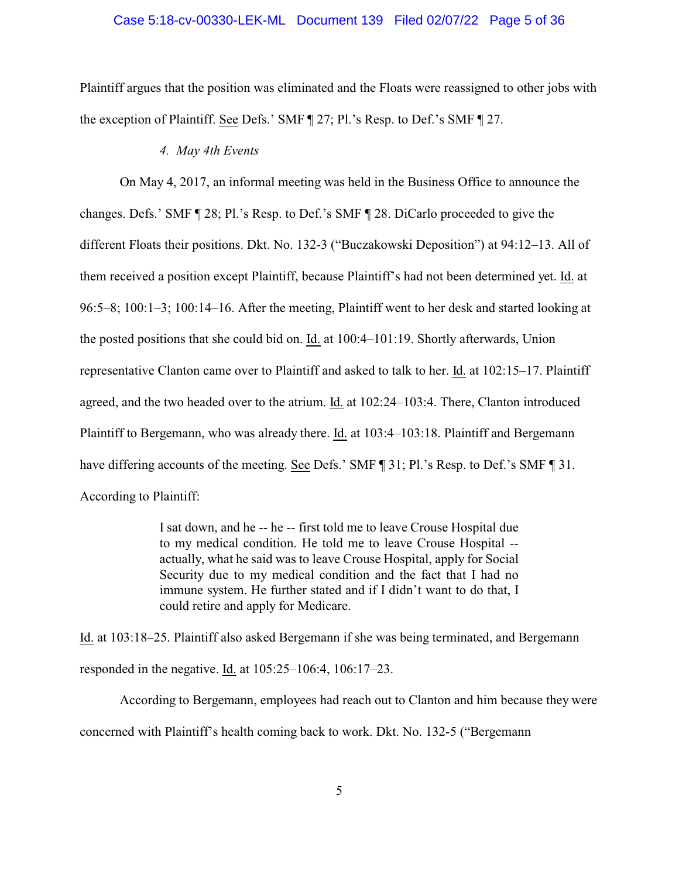### Case 5:18-cv-00330-LEK-ML Document 139 Filed 02/07/22 Page 5 of 36

Plaintiff argues that the position was eliminated and the Floats were reassigned to other jobs with the exception of Plaintiff. See Defs.' SMF ¶ 27; Pl.'s Resp. to Def.'s SMF ¶ 27.

#### *4. May 4th Events*

On May 4, 2017, an informal meeting was held in the Business Office to announce the changes. Defs.' SMF ¶ 28; Pl.'s Resp. to Def.'s SMF ¶ 28. DiCarlo proceeded to give the different Floats their positions. Dkt. No. 132-3 ("Buczakowski Deposition") at 94:12–13. All of them received a position except Plaintiff, because Plaintiff's had not been determined yet. Id. at 96:5–8; 100:1–3; 100:14–16. After the meeting, Plaintiff went to her desk and started looking at the posted positions that she could bid on. Id. at 100:4–101:19. Shortly afterwards, Union representative Clanton came over to Plaintiff and asked to talk to her. Id. at 102:15–17. Plaintiff agreed, and the two headed over to the atrium. Id. at 102:24–103:4. There, Clanton introduced Plaintiff to Bergemann, who was already there. Id. at 103:4–103:18. Plaintiff and Bergemann have differing accounts of the meeting. See Defs.' SMF ¶ 31; Pl.'s Resp. to Def.'s SMF ¶ 31. According to Plaintiff:

> I sat down, and he -- he -- first told me to leave Crouse Hospital due to my medical condition. He told me to leave Crouse Hospital - actually, what he said was to leave Crouse Hospital, apply for Social Security due to my medical condition and the fact that I had no immune system. He further stated and if I didn't want to do that, I could retire and apply for Medicare.

Id. at 103:18–25. Plaintiff also asked Bergemann if she was being terminated, and Bergemann responded in the negative. Id. at 105:25–106:4, 106:17–23.

According to Bergemann, employees had reach out to Clanton and him because they were concerned with Plaintiff's health coming back to work. Dkt. No. 132-5 ("Bergemann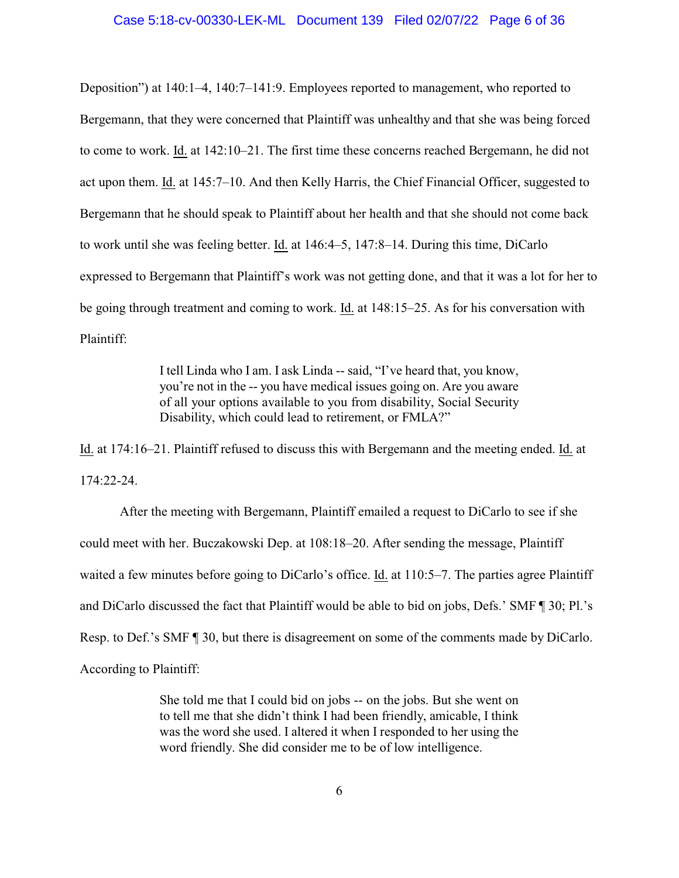Deposition") at 140:1–4, 140:7–141:9. Employees reported to management, who reported to Bergemann, that they were concerned that Plaintiff was unhealthy and that she was being forced to come to work. Id. at 142:10–21. The first time these concerns reached Bergemann, he did not act upon them. Id. at 145:7–10. And then Kelly Harris, the Chief Financial Officer, suggested to Bergemann that he should speak to Plaintiff about her health and that she should not come back to work until she was feeling better. Id. at 146:4–5, 147:8–14. During this time, DiCarlo expressed to Bergemann that Plaintiff's work was not getting done, and that it was a lot for her to be going through treatment and coming to work. Id. at 148:15–25. As for his conversation with Plaintiff:

> I tell Linda who I am. I ask Linda -- said, "I've heard that, you know, you're not in the -- you have medical issues going on. Are you aware of all your options available to you from disability, Social Security Disability, which could lead to retirement, or FMLA?"

Id. at 174:16–21. Plaintiff refused to discuss this with Bergemann and the meeting ended. Id. at 174:22-24.

After the meeting with Bergemann, Plaintiff emailed a request to DiCarlo to see if she could meet with her. Buczakowski Dep. at 108:18–20. After sending the message, Plaintiff waited a few minutes before going to DiCarlo's office. Id. at 110:5–7. The parties agree Plaintiff and DiCarlo discussed the fact that Plaintiff would be able to bid on jobs, Defs.' SMF ¶ 30; Pl.'s Resp. to Def.'s SMF ¶ 30, but there is disagreement on some of the comments made by DiCarlo. According to Plaintiff:

> She told me that I could bid on jobs -- on the jobs. But she went on to tell me that she didn't think I had been friendly, amicable, I think was the word she used. I altered it when I responded to her using the word friendly. She did consider me to be of low intelligence.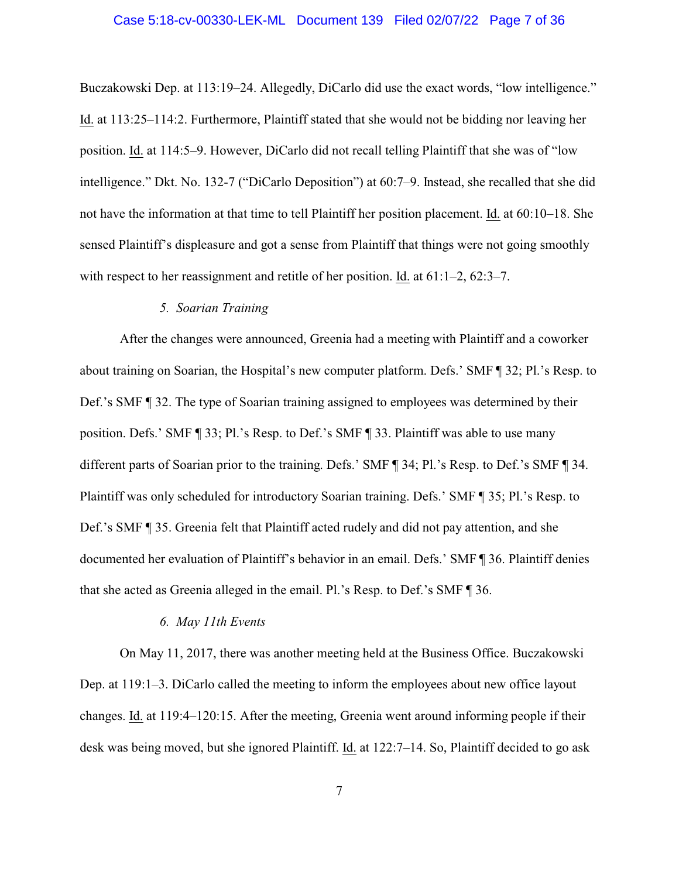### Case 5:18-cv-00330-LEK-ML Document 139 Filed 02/07/22 Page 7 of 36

Buczakowski Dep. at 113:19–24. Allegedly, DiCarlo did use the exact words, "low intelligence." Id. at 113:25–114:2. Furthermore, Plaintiff stated that she would not be bidding nor leaving her position. Id. at 114:5–9. However, DiCarlo did not recall telling Plaintiff that she was of "low intelligence." Dkt. No. 132-7 ("DiCarlo Deposition") at 60:7–9. Instead, she recalled that she did not have the information at that time to tell Plaintiff her position placement. Id. at 60:10–18. She sensed Plaintiff's displeasure and got a sense from Plaintiff that things were not going smoothly with respect to her reassignment and retitle of her position. Id. at  $61:1-2$ ,  $62:3-7$ .

# *5. Soarian Training*

After the changes were announced, Greenia had a meeting with Plaintiff and a coworker about training on Soarian, the Hospital's new computer platform. Defs.' SMF ¶ 32; Pl.'s Resp. to Def.'s SMF ¶ 32. The type of Soarian training assigned to employees was determined by their position. Defs.' SMF ¶ 33; Pl.'s Resp. to Def.'s SMF ¶ 33. Plaintiff was able to use many different parts of Soarian prior to the training. Defs.' SMF ¶ 34; Pl.'s Resp. to Def.'s SMF ¶ 34. Plaintiff was only scheduled for introductory Soarian training. Defs.' SMF ¶ 35; Pl.'s Resp. to Def.'s SMF ¶ 35. Greenia felt that Plaintiff acted rudely and did not pay attention, and she documented her evaluation of Plaintiff's behavior in an email. Defs.' SMF ¶ 36. Plaintiff denies that she acted as Greenia alleged in the email. Pl.'s Resp. to Def.'s SMF ¶ 36.

# *6. May 11th Events*

On May 11, 2017, there was another meeting held at the Business Office. Buczakowski Dep. at 119:1–3. DiCarlo called the meeting to inform the employees about new office layout changes. Id. at 119:4–120:15. After the meeting, Greenia went around informing people if their desk was being moved, but she ignored Plaintiff. Id. at 122:7–14. So, Plaintiff decided to go ask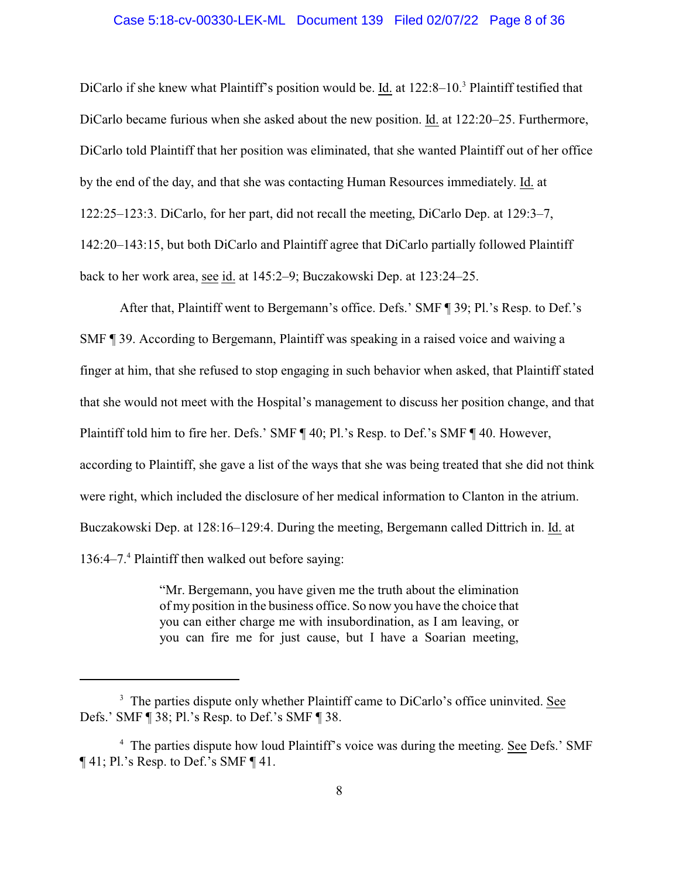### Case 5:18-cv-00330-LEK-ML Document 139 Filed 02/07/22 Page 8 of 36

DiCarlo if she knew what Plaintiff's position would be. Id. at 122:8–10.<sup>3</sup> Plaintiff testified that DiCarlo became furious when she asked about the new position. Id. at 122:20–25. Furthermore, DiCarlo told Plaintiff that her position was eliminated, that she wanted Plaintiff out of her office by the end of the day, and that she was contacting Human Resources immediately. Id. at 122:25–123:3. DiCarlo, for her part, did not recall the meeting, DiCarlo Dep. at 129:3–7, 142:20–143:15, but both DiCarlo and Plaintiff agree that DiCarlo partially followed Plaintiff back to her work area, see id. at 145:2–9; Buczakowski Dep. at 123:24–25.

After that, Plaintiff went to Bergemann's office. Defs.' SMF ¶ 39; Pl.'s Resp. to Def.'s SMF ¶ 39. According to Bergemann, Plaintiff was speaking in a raised voice and waiving a finger at him, that she refused to stop engaging in such behavior when asked, that Plaintiff stated that she would not meet with the Hospital's management to discuss her position change, and that Plaintiff told him to fire her. Defs.' SMF ¶ 40; Pl.'s Resp. to Def.'s SMF ¶ 40. However, according to Plaintiff, she gave a list of the ways that she was being treated that she did not think were right, which included the disclosure of her medical information to Clanton in the atrium. Buczakowski Dep. at 128:16–129:4. During the meeting, Bergemann called Dittrich in. Id. at 136:4–7.<sup>4</sup> Plaintiff then walked out before saying:

> "Mr. Bergemann, you have given me the truth about the elimination of my position in the business office. So now you have the choice that you can either charge me with insubordination, as I am leaving, or you can fire me for just cause, but I have a Soarian meeting,

<sup>&</sup>lt;sup>3</sup> The parties dispute only whether Plaintiff came to DiCarlo's office uninvited. See Defs.' SMF ¶ 38; Pl.'s Resp. to Def.'s SMF ¶ 38.

<sup>&</sup>lt;sup>4</sup> The parties dispute how loud Plaintiff's voice was during the meeting. See Defs.' SMF  $\P$  41; Pl.'s Resp. to Def.'s SMF  $\P$  41.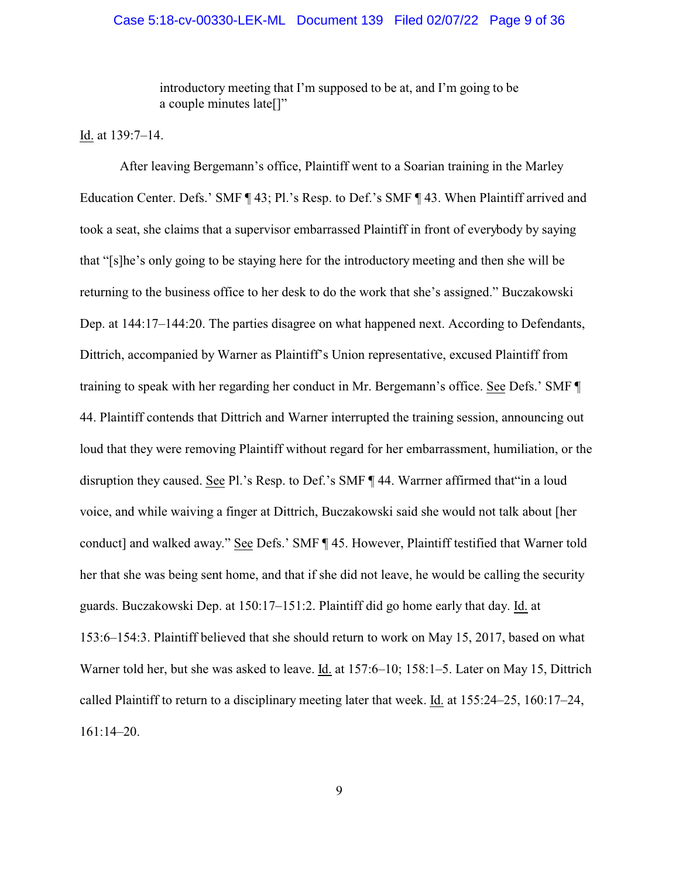### Case 5:18-cv-00330-LEK-ML Document 139 Filed 02/07/22 Page 9 of 36

introductory meeting that I'm supposed to be at, and I'm going to be a couple minutes late[]"

Id. at 139:7–14.

After leaving Bergemann's office, Plaintiff went to a Soarian training in the Marley Education Center. Defs.' SMF ¶ 43; Pl.'s Resp. to Def.'s SMF ¶ 43. When Plaintiff arrived and took a seat, she claims that a supervisor embarrassed Plaintiff in front of everybody by saying that "[s]he's only going to be staying here for the introductory meeting and then she will be returning to the business office to her desk to do the work that she's assigned." Buczakowski Dep. at 144:17–144:20. The parties disagree on what happened next. According to Defendants, Dittrich, accompanied by Warner as Plaintiff's Union representative, excused Plaintiff from training to speak with her regarding her conduct in Mr. Bergemann's office. See Defs.' SMF ¶ 44. Plaintiff contends that Dittrich and Warner interrupted the training session, announcing out loud that they were removing Plaintiff without regard for her embarrassment, humiliation, or the disruption they caused. See Pl.'s Resp. to Def.'s SMF ¶ 44. Warrner affirmed that"in a loud voice, and while waiving a finger at Dittrich, Buczakowski said she would not talk about [her conduct] and walked away." See Defs.' SMF ¶ 45. However, Plaintiff testified that Warner told her that she was being sent home, and that if she did not leave, he would be calling the security guards. Buczakowski Dep. at 150:17–151:2. Plaintiff did go home early that day. Id. at 153:6–154:3. Plaintiff believed that she should return to work on May 15, 2017, based on what Warner told her, but she was asked to leave. Id. at 157:6–10; 158:1–5. Later on May 15, Dittrich called Plaintiff to return to a disciplinary meeting later that week. Id. at 155:24–25, 160:17–24, 161:14–20.

9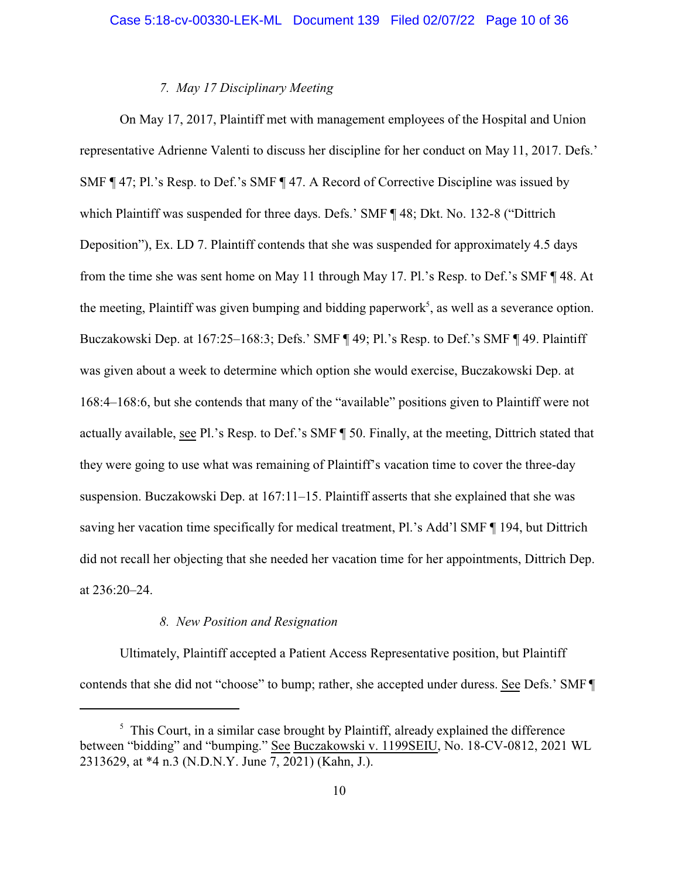# *7. May 17 Disciplinary Meeting*

On May 17, 2017, Plaintiff met with management employees of the Hospital and Union representative Adrienne Valenti to discuss her discipline for her conduct on May 11, 2017. Defs.' SMF ¶ 47; Pl.'s Resp. to Def.'s SMF ¶ 47. A Record of Corrective Discipline was issued by which Plaintiff was suspended for three days. Defs.' SMF ¶ 48; Dkt. No. 132-8 ("Dittrich Deposition"), Ex. LD 7. Plaintiff contends that she was suspended for approximately 4.5 days from the time she was sent home on May 11 through May 17. Pl.'s Resp. to Def.'s SMF ¶ 48. At the meeting, Plaintiff was given bumping and bidding paperwork<sup>5</sup>, as well as a severance option. Buczakowski Dep. at 167:25–168:3; Defs.' SMF ¶ 49; Pl.'s Resp. to Def.'s SMF ¶ 49. Plaintiff was given about a week to determine which option she would exercise, Buczakowski Dep. at 168:4–168:6, but she contends that many of the "available" positions given to Plaintiff were not actually available, see Pl.'s Resp. to Def.'s SMF ¶ 50. Finally, at the meeting, Dittrich stated that they were going to use what was remaining of Plaintiff's vacation time to cover the three-day suspension. Buczakowski Dep. at 167:11–15. Plaintiff asserts that she explained that she was saving her vacation time specifically for medical treatment, Pl.'s Add'l SMF ¶ 194, but Dittrich did not recall her objecting that she needed her vacation time for her appointments, Dittrich Dep. at 236:20–24.

## *8. New Position and Resignation*

Ultimately, Plaintiff accepted a Patient Access Representative position, but Plaintiff contends that she did not "choose" to bump; rather, she accepted under duress. See Defs.' SMF ¶

<sup>&</sup>lt;sup>5</sup> This Court, in a similar case brought by Plaintiff, already explained the difference between "bidding" and "bumping." See Buczakowski v. 1199SEIU, No. 18-CV-0812, 2021 WL 2313629, at \*4 n.3 (N.D.N.Y. June 7, 2021) (Kahn, J.).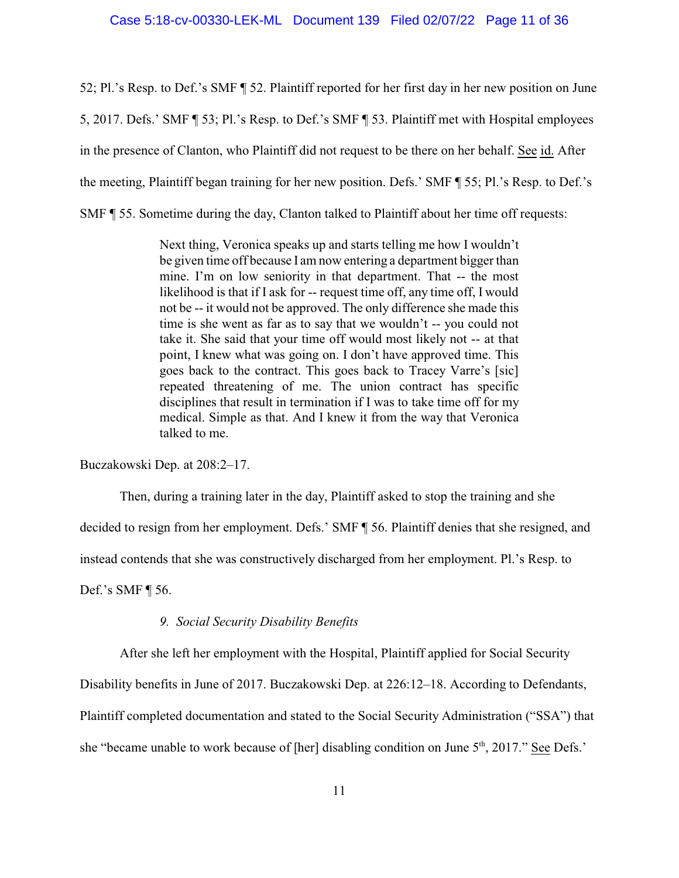52; Pl.'s Resp. to Def.'s SMF ¶ 52. Plaintiff reported for her first day in her new position on June 5, 2017. Defs.' SMF ¶ 53; Pl.'s Resp. to Def.'s SMF ¶ 53. Plaintiff met with Hospital employees in the presence of Clanton, who Plaintiff did not request to be there on her behalf. See id. After the meeting, Plaintiff began training for her new position. Defs.' SMF ¶ 55; Pl.'s Resp. to Def.'s SMF ¶ 55. Sometime during the day, Clanton talked to Plaintiff about her time off requests:

> Next thing, Veronica speaks up and starts telling me how I wouldn't be given time off because I am now entering a department bigger than mine. I'm on low seniority in that department. That -- the most likelihood is that if I ask for -- request time off, any time off, I would not be -- it would not be approved. The only difference she made this time is she went as far as to say that we wouldn't -- you could not take it. She said that your time off would most likely not -- at that point, I knew what was going on. I don't have approved time. This goes back to the contract. This goes back to Tracey Varre's [sic] repeated threatening of me. The union contract has specific disciplines that result in termination if I was to take time off for my medical. Simple as that. And I knew it from the way that Veronica talked to me.

Buczakowski Dep. at 208:2–17.

Then, during a training later in the day, Plaintiff asked to stop the training and she

decided to resign from her employment. Defs.' SMF ¶ 56. Plaintiff denies that she resigned, and

instead contends that she was constructively discharged from her employment. Pl.'s Resp. to

Def.'s SMF ¶ 56.

# *9. Social Security Disability Benefits*

After she left her employment with the Hospital, Plaintiff applied for Social Security

Disability benefits in June of 2017. Buczakowski Dep. at 226:12–18. According to Defendants,

Plaintiff completed documentation and stated to the Social Security Administration ("SSA") that

she "became unable to work because of [her] disabling condition on June 5<sup>th</sup>, 2017." See Defs.'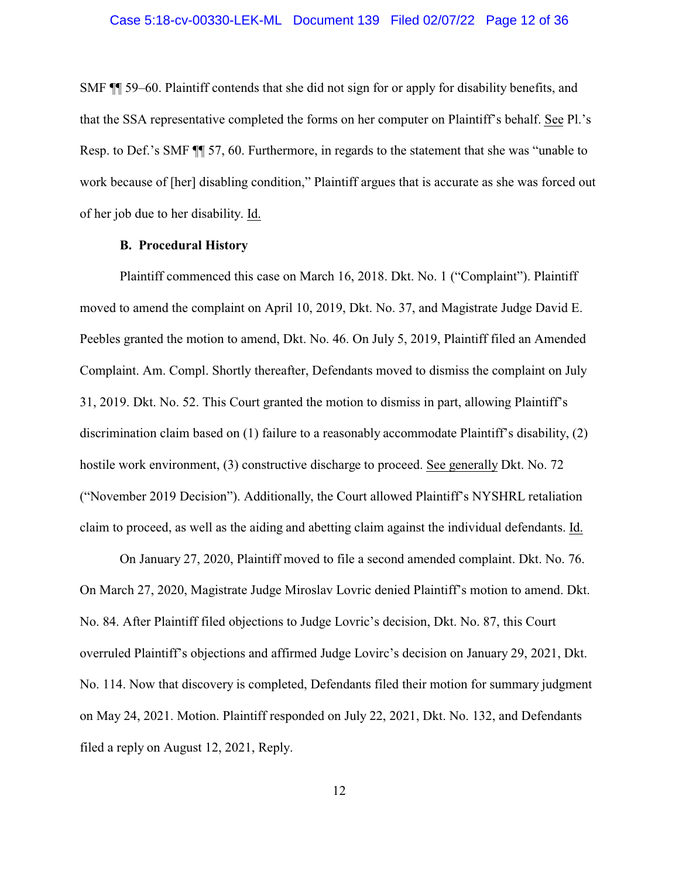SMF ¶¶ 59–60. Plaintiff contends that she did not sign for or apply for disability benefits, and that the SSA representative completed the forms on her computer on Plaintiff's behalf. See Pl.'s Resp. to Def.'s SMF ¶¶ 57, 60. Furthermore, in regards to the statement that she was "unable to work because of [her] disabling condition," Plaintiff argues that is accurate as she was forced out of her job due to her disability. Id.

### **B. Procedural History**

Plaintiff commenced this case on March 16, 2018. Dkt. No. 1 ("Complaint"). Plaintiff moved to amend the complaint on April 10, 2019, Dkt. No. 37, and Magistrate Judge David E. Peebles granted the motion to amend, Dkt. No. 46. On July 5, 2019, Plaintiff filed an Amended Complaint. Am. Compl. Shortly thereafter, Defendants moved to dismiss the complaint on July 31, 2019. Dkt. No. 52. This Court granted the motion to dismiss in part, allowing Plaintiff's discrimination claim based on (1) failure to a reasonably accommodate Plaintiff's disability, (2) hostile work environment, (3) constructive discharge to proceed. See generally Dkt. No. 72 ("November 2019 Decision"). Additionally, the Court allowed Plaintiff's NYSHRL retaliation claim to proceed, as well as the aiding and abetting claim against the individual defendants. Id.

On January 27, 2020, Plaintiff moved to file a second amended complaint. Dkt. No. 76. On March 27, 2020, Magistrate Judge Miroslav Lovric denied Plaintiff's motion to amend. Dkt. No. 84. After Plaintiff filed objections to Judge Lovric's decision, Dkt. No. 87, this Court overruled Plaintiff's objections and affirmed Judge Lovirc's decision on January 29, 2021, Dkt. No. 114. Now that discovery is completed, Defendants filed their motion for summary judgment on May 24, 2021. Motion. Plaintiff responded on July 22, 2021, Dkt. No. 132, and Defendants filed a reply on August 12, 2021, Reply.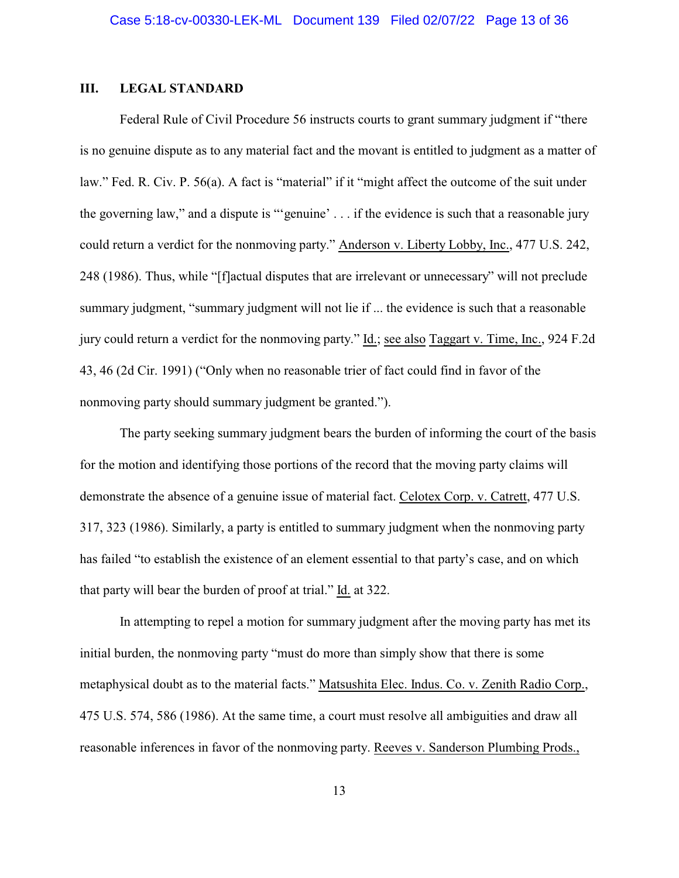### **III. LEGAL STANDARD**

Federal Rule of Civil Procedure 56 instructs courts to grant summary judgment if "there is no genuine dispute as to any material fact and the movant is entitled to judgment as a matter of law." Fed. R. Civ. P. 56(a). A fact is "material" if it "might affect the outcome of the suit under the governing law," and a dispute is "'genuine' . . . if the evidence is such that a reasonable jury could return a verdict for the nonmoving party." Anderson v. Liberty Lobby, Inc., 477 U.S. 242, 248 (1986). Thus, while "[f]actual disputes that are irrelevant or unnecessary" will not preclude summary judgment, "summary judgment will not lie if ... the evidence is such that a reasonable jury could return a verdict for the nonmoving party." Id.; see also Taggart v. Time, Inc., 924 F.2d 43, 46 (2d Cir. 1991) ("Only when no reasonable trier of fact could find in favor of the nonmoving party should summary judgment be granted.").

The party seeking summary judgment bears the burden of informing the court of the basis for the motion and identifying those portions of the record that the moving party claims will demonstrate the absence of a genuine issue of material fact. Celotex Corp. v. Catrett, 477 U.S. 317, 323 (1986). Similarly, a party is entitled to summary judgment when the nonmoving party has failed "to establish the existence of an element essential to that party's case, and on which that party will bear the burden of proof at trial." Id. at 322.

In attempting to repel a motion for summary judgment after the moving party has met its initial burden, the nonmoving party "must do more than simply show that there is some metaphysical doubt as to the material facts." Matsushita Elec. Indus. Co. v. Zenith Radio Corp., 475 U.S. 574, 586 (1986). At the same time, a court must resolve all ambiguities and draw all reasonable inferences in favor of the nonmoving party. Reeves v. Sanderson Plumbing Prods.,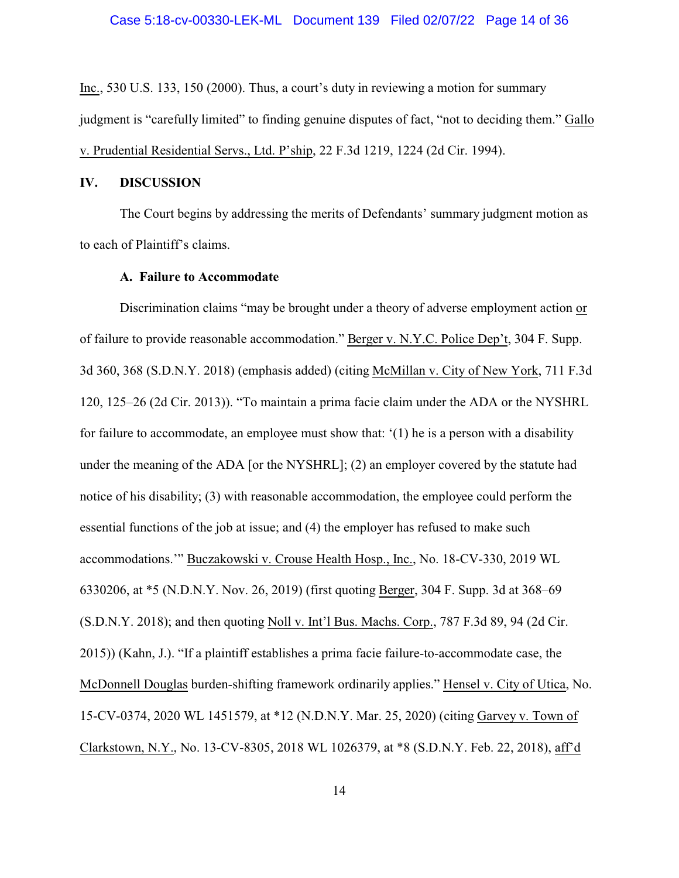Inc., 530 U.S. 133, 150 (2000). Thus, a court's duty in reviewing a motion for summary judgment is "carefully limited" to finding genuine disputes of fact, "not to deciding them." Gallo v. Prudential Residential Servs., Ltd. P'ship, 22 F.3d 1219, 1224 (2d Cir. 1994).

# **IV. DISCUSSION**

The Court begins by addressing the merits of Defendants' summary judgment motion as to each of Plaintiff's claims.

## **A. Failure to Accommodate**

Discrimination claims "may be brought under a theory of adverse employment action or of failure to provide reasonable accommodation." Berger v. N.Y.C. Police Dep't, 304 F. Supp. 3d 360, 368 (S.D.N.Y. 2018) (emphasis added) (citing McMillan v. City of New York, 711 F.3d 120, 125–26 (2d Cir. 2013)). "To maintain a prima facie claim under the ADA or the NYSHRL for failure to accommodate, an employee must show that: '(1) he is a person with a disability under the meaning of the ADA [or the NYSHRL]; (2) an employer covered by the statute had notice of his disability; (3) with reasonable accommodation, the employee could perform the essential functions of the job at issue; and (4) the employer has refused to make such accommodations.'" Buczakowski v. Crouse Health Hosp., Inc., No. 18-CV-330, 2019 WL 6330206, at \*5 (N.D.N.Y. Nov. 26, 2019) (first quoting Berger, 304 F. Supp. 3d at 368–69 (S.D.N.Y. 2018); and then quoting Noll v. Int'l Bus. Machs. Corp., 787 F.3d 89, 94 (2d Cir. 2015)) (Kahn, J.). "If a plaintiff establishes a prima facie failure-to-accommodate case, the McDonnell Douglas burden-shifting framework ordinarily applies." Hensel v. City of Utica, No. 15-CV-0374, 2020 WL 1451579, at \*12 (N.D.N.Y. Mar. 25, 2020) (citing Garvey v. Town of Clarkstown, N.Y., No. 13-CV-8305, 2018 WL 1026379, at \*8 (S.D.N.Y. Feb. 22, 2018), aff'd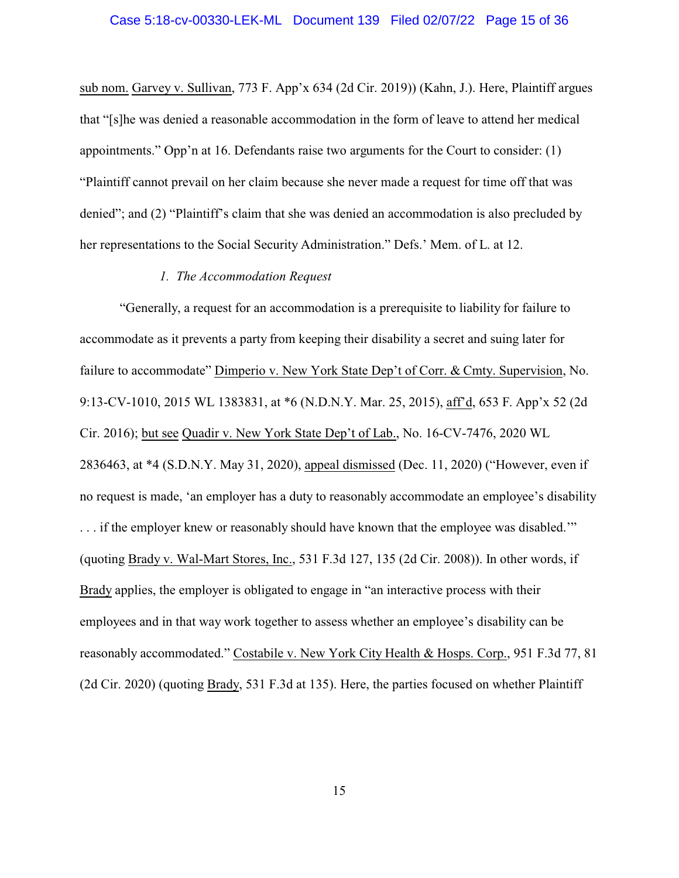sub nom. Garvey v. Sullivan, 773 F. App'x 634 (2d Cir. 2019)) (Kahn, J.). Here, Plaintiff argues that "[s]he was denied a reasonable accommodation in the form of leave to attend her medical appointments." Opp'n at 16. Defendants raise two arguments for the Court to consider: (1) "Plaintiff cannot prevail on her claim because she never made a request for time off that was denied"; and (2) "Plaintiff's claim that she was denied an accommodation is also precluded by her representations to the Social Security Administration." Defs.' Mem. of L. at 12.

# *1. The Accommodation Request*

"Generally, a request for an accommodation is a prerequisite to liability for failure to accommodate as it prevents a party from keeping their disability a secret and suing later for failure to accommodate" Dimperio v. New York State Dep't of Corr. & Cmty. Supervision, No. 9:13-CV-1010, 2015 WL 1383831, at \*6 (N.D.N.Y. Mar. 25, 2015), aff'd, 653 F. App'x 52 (2d Cir. 2016); but see Quadir v. New York State Dep't of Lab., No. 16-CV-7476, 2020 WL 2836463, at \*4 (S.D.N.Y. May 31, 2020), appeal dismissed (Dec. 11, 2020) ("However, even if no request is made, 'an employer has a duty to reasonably accommodate an employee's disability ... if the employer knew or reasonably should have known that the employee was disabled." (quoting Brady v. Wal-Mart Stores, Inc., 531 F.3d 127, 135 (2d Cir. 2008)). In other words, if Brady applies, the employer is obligated to engage in "an interactive process with their employees and in that way work together to assess whether an employee's disability can be reasonably accommodated." Costabile v. New York City Health & Hosps. Corp., 951 F.3d 77, 81 (2d Cir. 2020) (quoting Brady, 531 F.3d at 135). Here, the parties focused on whether Plaintiff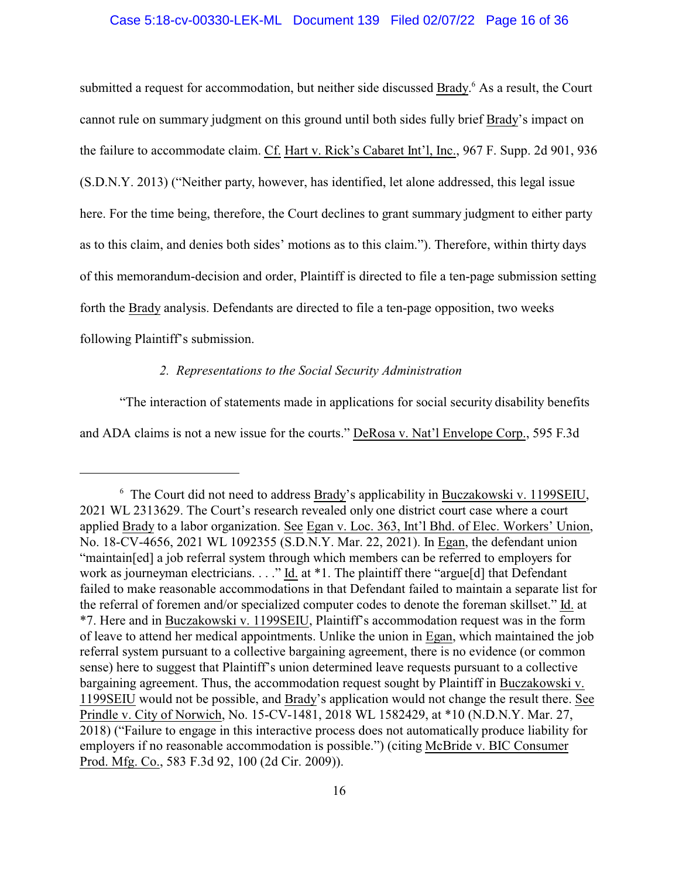### Case 5:18-cv-00330-LEK-ML Document 139 Filed 02/07/22 Page 16 of 36

submitted a request for accommodation, but neither side discussed Brady.<sup>6</sup> As a result, the Court cannot rule on summary judgment on this ground until both sides fully brief Brady's impact on the failure to accommodate claim. Cf. Hart v. Rick's Cabaret Int'l, Inc., 967 F. Supp. 2d 901, 936 (S.D.N.Y. 2013) ("Neither party, however, has identified, let alone addressed, this legal issue here. For the time being, therefore, the Court declines to grant summary judgment to either party as to this claim, and denies both sides' motions as to this claim."). Therefore, within thirty days of this memorandum-decision and order, Plaintiff is directed to file a ten-page submission setting forth the Brady analysis. Defendants are directed to file a ten-page opposition, two weeks following Plaintiff's submission.

# *2. Representations to the Social Security Administration*

"The interaction of statements made in applications for social security disability benefits and ADA claims is not a new issue for the courts." DeRosa v. Nat'l Envelope Corp., 595 F.3d

<sup>&</sup>lt;sup>6</sup> The Court did not need to address **Brady's applicability in Buczakowski v. 1199SEIU**, 2021 WL 2313629. The Court's research revealed only one district court case where a court applied Brady to a labor organization. See Egan v. Loc. 363, Int'l Bhd. of Elec. Workers' Union, No. 18-CV-4656, 2021 WL 1092355 (S.D.N.Y. Mar. 22, 2021). In Egan, the defendant union "maintain[ed] a job referral system through which members can be referred to employers for work as journeyman electricians. . . ." Id. at \*1. The plaintiff there "argue[d] that Defendant failed to make reasonable accommodations in that Defendant failed to maintain a separate list for the referral of foremen and/or specialized computer codes to denote the foreman skillset." Id. at \*7. Here and in Buczakowski v. 1199SEIU, Plaintiff's accommodation request was in the form of leave to attend her medical appointments. Unlike the union in Egan, which maintained the job referral system pursuant to a collective bargaining agreement, there is no evidence (or common sense) here to suggest that Plaintiff's union determined leave requests pursuant to a collective bargaining agreement. Thus, the accommodation request sought by Plaintiff in Buczakowski v. 1199SEIU would not be possible, and Brady's application would not change the result there. See Prindle v. City of Norwich, No. 15-CV-1481, 2018 WL 1582429, at \*10 (N.D.N.Y. Mar. 27, 2018) ("Failure to engage in this interactive process does not automatically produce liability for employers if no reasonable accommodation is possible.") (citing McBride v. BIC Consumer Prod. Mfg. Co., 583 F.3d 92, 100 (2d Cir. 2009)).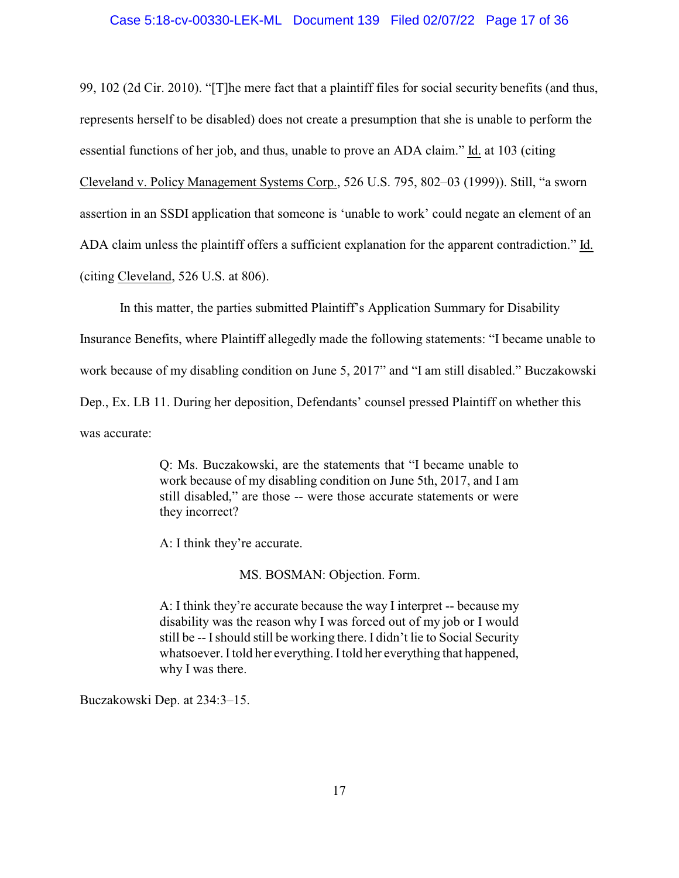99, 102 (2d Cir. 2010). "[T]he mere fact that a plaintiff files for social security benefits (and thus, represents herself to be disabled) does not create a presumption that she is unable to perform the essential functions of her job, and thus, unable to prove an ADA claim." Id. at 103 (citing Cleveland v. Policy Management Systems Corp., 526 U.S. 795, 802–03 (1999)). Still, "a sworn assertion in an SSDI application that someone is 'unable to work' could negate an element of an ADA claim unless the plaintiff offers a sufficient explanation for the apparent contradiction." Id. (citing Cleveland, 526 U.S. at 806).

In this matter, the parties submitted Plaintiff's Application Summary for Disability

Insurance Benefits, where Plaintiff allegedly made the following statements: "I became unable to work because of my disabling condition on June 5, 2017" and "I am still disabled." Buczakowski Dep., Ex. LB 11. During her deposition, Defendants' counsel pressed Plaintiff on whether this was accurate:

> Q: Ms. Buczakowski, are the statements that "I became unable to work because of my disabling condition on June 5th, 2017, and I am still disabled," are those -- were those accurate statements or were they incorrect?

A: I think they're accurate.

MS. BOSMAN: Objection. Form.

A: I think they're accurate because the way I interpret -- because my disability was the reason why I was forced out of my job or I would still be -- Ishould still be working there. I didn't lie to Social Security whatsoever. Itold her everything. Itold her everything that happened, why I was there.

Buczakowski Dep. at 234:3–15.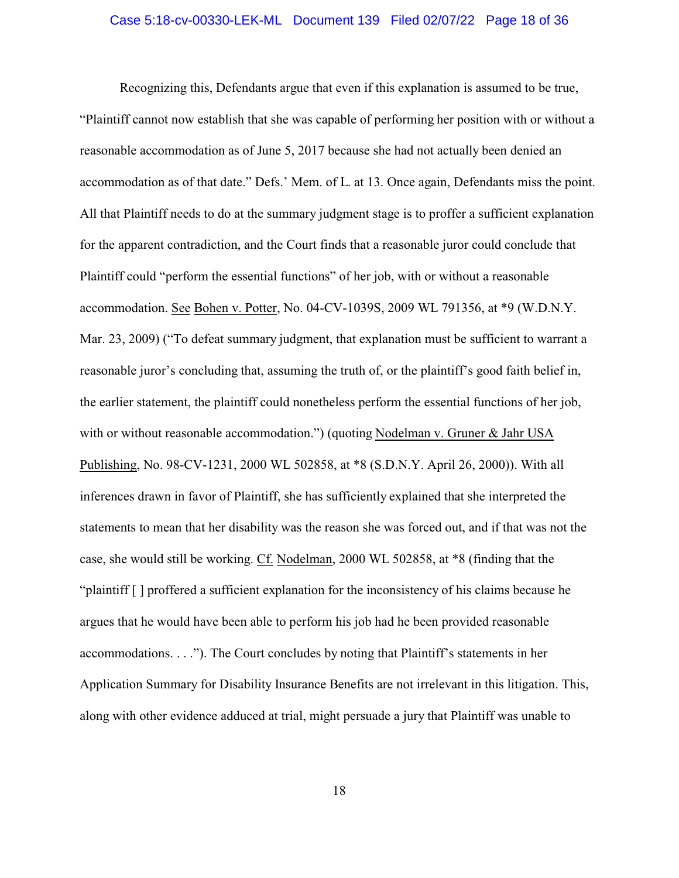#### Case 5:18-cv-00330-LEK-ML Document 139 Filed 02/07/22 Page 18 of 36

Recognizing this, Defendants argue that even if this explanation is assumed to be true, "Plaintiff cannot now establish that she was capable of performing her position with or without a reasonable accommodation as of June 5, 2017 because she had not actually been denied an accommodation as of that date." Defs.' Mem. of L. at 13. Once again, Defendants miss the point. All that Plaintiff needs to do at the summary judgment stage is to proffer a sufficient explanation for the apparent contradiction, and the Court finds that a reasonable juror could conclude that Plaintiff could "perform the essential functions" of her job, with or without a reasonable accommodation. See Bohen v. Potter, No. 04-CV-1039S, 2009 WL 791356, at \*9 (W.D.N.Y. Mar. 23, 2009) ("To defeat summary judgment, that explanation must be sufficient to warrant a reasonable juror's concluding that, assuming the truth of, or the plaintiff's good faith belief in, the earlier statement, the plaintiff could nonetheless perform the essential functions of her job, with or without reasonable accommodation.") (quoting Nodelman v. Gruner & Jahr USA Publishing, No. 98-CV-1231, 2000 WL 502858, at \*8 (S.D.N.Y. April 26, 2000)). With all inferences drawn in favor of Plaintiff, she has sufficiently explained that she interpreted the statements to mean that her disability was the reason she was forced out, and if that was not the case, she would still be working. Cf. Nodelman, 2000 WL 502858, at \*8 (finding that the "plaintiff [ ] proffered a sufficient explanation for the inconsistency of his claims because he argues that he would have been able to perform his job had he been provided reasonable accommodations. . . ."). The Court concludes by noting that Plaintiff's statements in her Application Summary for Disability Insurance Benefits are not irrelevant in this litigation. This, along with other evidence adduced at trial, might persuade a jury that Plaintiff was unable to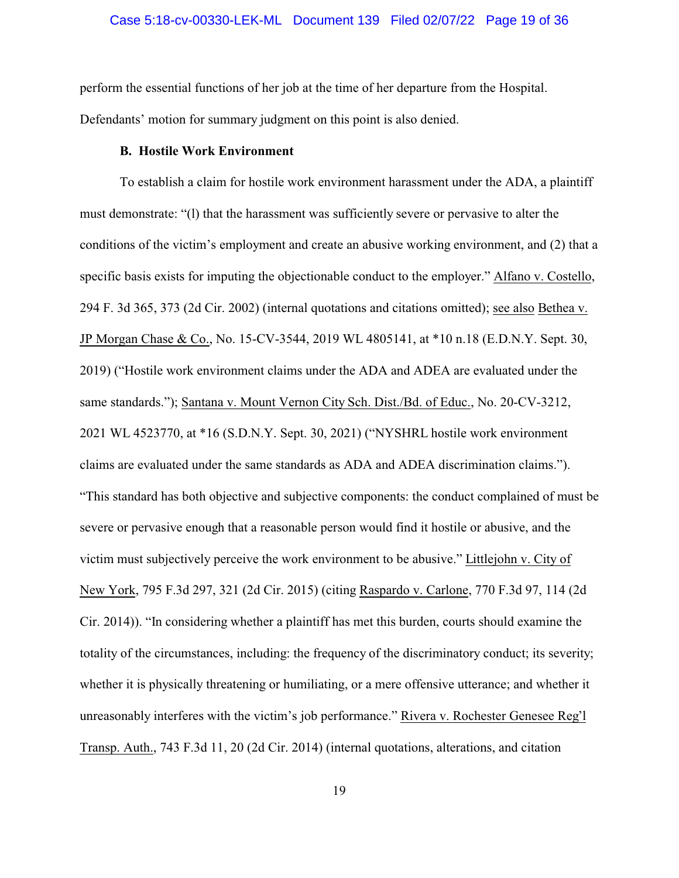perform the essential functions of her job at the time of her departure from the Hospital. Defendants' motion for summary judgment on this point is also denied.

#### **B. Hostile Work Environment**

To establish a claim for hostile work environment harassment under the ADA, a plaintiff must demonstrate: "(l) that the harassment was sufficiently severe or pervasive to alter the conditions of the victim's employment and create an abusive working environment, and (2) that a specific basis exists for imputing the objectionable conduct to the employer." Alfano v. Costello, 294 F. 3d 365, 373 (2d Cir. 2002) (internal quotations and citations omitted); see also Bethea v. JP Morgan Chase & Co., No. 15-CV-3544, 2019 WL 4805141, at \*10 n.18 (E.D.N.Y. Sept. 30, 2019) ("Hostile work environment claims under the ADA and ADEA are evaluated under the same standards."); Santana v. Mount Vernon City Sch. Dist./Bd. of Educ., No. 20-CV-3212, 2021 WL 4523770, at \*16 (S.D.N.Y. Sept. 30, 2021) ("NYSHRL hostile work environment claims are evaluated under the same standards as ADA and ADEA discrimination claims."). "This standard has both objective and subjective components: the conduct complained of must be severe or pervasive enough that a reasonable person would find it hostile or abusive, and the victim must subjectively perceive the work environment to be abusive." Littlejohn v. City of New York, 795 F.3d 297, 321 (2d Cir. 2015) (citing Raspardo v. Carlone, 770 F.3d 97, 114 (2d Cir. 2014)). "In considering whether a plaintiff has met this burden, courts should examine the totality of the circumstances, including: the frequency of the discriminatory conduct; its severity; whether it is physically threatening or humiliating, or a mere offensive utterance; and whether it unreasonably interferes with the victim's job performance." Rivera v. Rochester Genesee Reg'l Transp. Auth., 743 F.3d 11, 20 (2d Cir. 2014) (internal quotations, alterations, and citation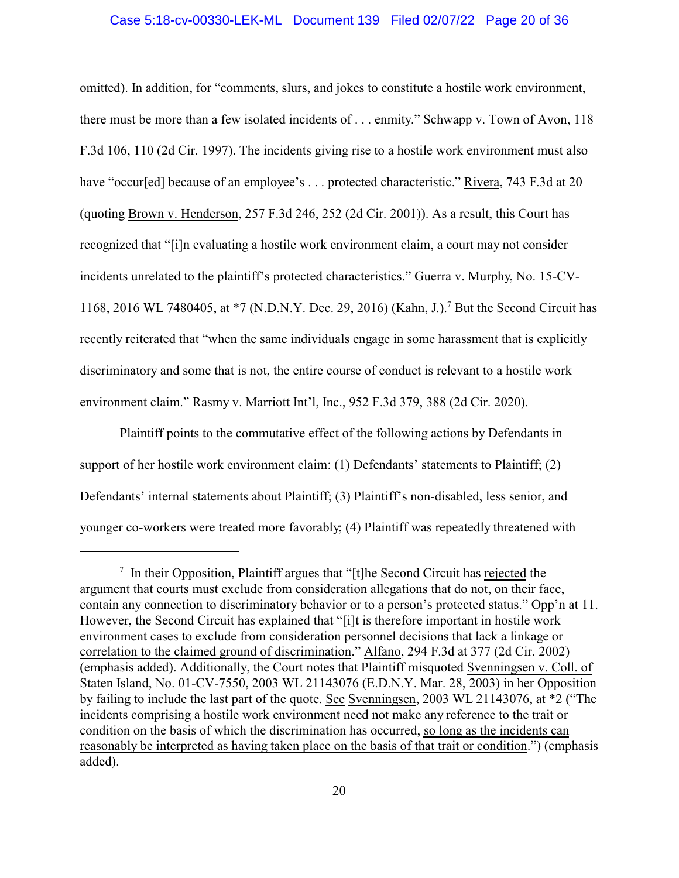### Case 5:18-cv-00330-LEK-ML Document 139 Filed 02/07/22 Page 20 of 36

omitted). In addition, for "comments, slurs, and jokes to constitute a hostile work environment, there must be more than a few isolated incidents of . . . enmity." Schwapp v. Town of Avon, 118 F.3d 106, 110 (2d Cir. 1997). The incidents giving rise to a hostile work environment must also have "occur[ed] because of an employee's ... protected characteristic." Rivera, 743 F.3d at 20 (quoting Brown v. Henderson, 257 F.3d 246, 252 (2d Cir. 2001)). As a result, this Court has recognized that "[i]n evaluating a hostile work environment claim, a court may not consider incidents unrelated to the plaintiff's protected characteristics." Guerra v. Murphy, No. 15-CV-1168, 2016 WL 7480405, at \*7 (N.D.N.Y. Dec. 29, 2016) (Kahn, J.).<sup>7</sup> But the Second Circuit has recently reiterated that "when the same individuals engage in some harassment that is explicitly discriminatory and some that is not, the entire course of conduct is relevant to a hostile work environment claim." Rasmy v. Marriott Int'l, Inc., 952 F.3d 379, 388 (2d Cir. 2020).

Plaintiff points to the commutative effect of the following actions by Defendants in support of her hostile work environment claim: (1) Defendants' statements to Plaintiff; (2) Defendants' internal statements about Plaintiff; (3) Plaintiff's non-disabled, less senior, and younger co-workers were treated more favorably; (4) Plaintiff was repeatedly threatened with

<sup>&</sup>lt;sup>7</sup> In their Opposition, Plaintiff argues that "[t]he Second Circuit has rejected the argument that courts must exclude from consideration allegations that do not, on their face, contain any connection to discriminatory behavior or to a person's protected status." Opp'n at 11. However, the Second Circuit has explained that "[i]t is therefore important in hostile work environment cases to exclude from consideration personnel decisions that lack a linkage or correlation to the claimed ground of discrimination." Alfano, 294 F.3d at 377 (2d Cir. 2002) (emphasis added). Additionally, the Court notes that Plaintiff misquoted Svenningsen v. Coll. of Staten Island, No. 01-CV-7550, 2003 WL 21143076 (E.D.N.Y. Mar. 28, 2003) in her Opposition by failing to include the last part of the quote. See Svenningsen, 2003 WL 21143076, at \*2 ("The incidents comprising a hostile work environment need not make any reference to the trait or condition on the basis of which the discrimination has occurred, so long as the incidents can reasonably be interpreted as having taken place on the basis of that trait or condition.") (emphasis added).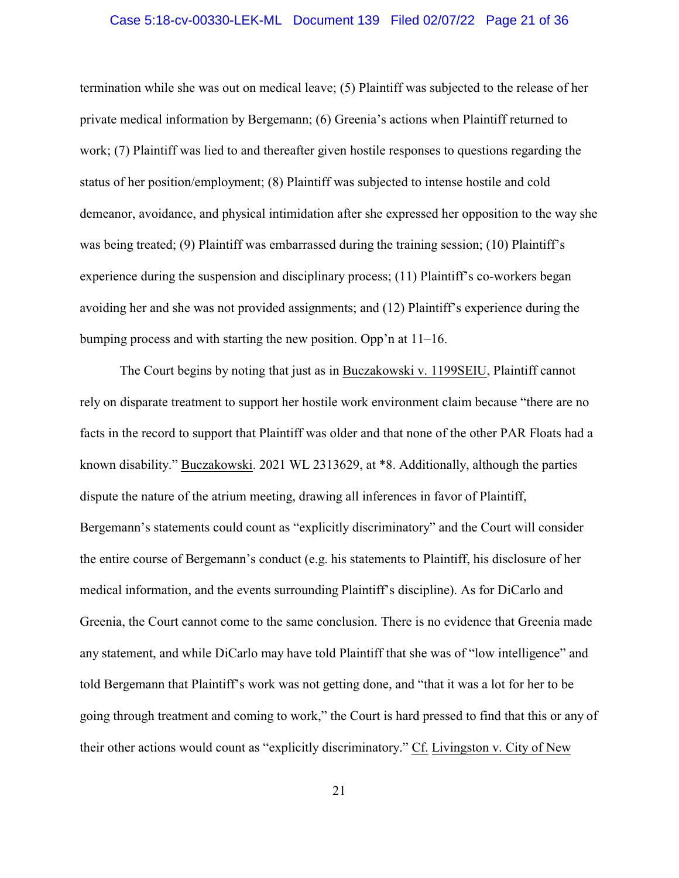### Case 5:18-cv-00330-LEK-ML Document 139 Filed 02/07/22 Page 21 of 36

termination while she was out on medical leave; (5) Plaintiff was subjected to the release of her private medical information by Bergemann; (6) Greenia's actions when Plaintiff returned to work; (7) Plaintiff was lied to and thereafter given hostile responses to questions regarding the status of her position/employment; (8) Plaintiff was subjected to intense hostile and cold demeanor, avoidance, and physical intimidation after she expressed her opposition to the way she was being treated; (9) Plaintiff was embarrassed during the training session; (10) Plaintiff's experience during the suspension and disciplinary process; (11) Plaintiff's co-workers began avoiding her and she was not provided assignments; and (12) Plaintiff's experience during the bumping process and with starting the new position. Opp'n at 11–16.

The Court begins by noting that just as in Buczakowski v. 1199SEIU, Plaintiff cannot rely on disparate treatment to support her hostile work environment claim because "there are no facts in the record to support that Plaintiff was older and that none of the other PAR Floats had a known disability." Buczakowski. 2021 WL 2313629, at \*8. Additionally, although the parties dispute the nature of the atrium meeting, drawing all inferences in favor of Plaintiff, Bergemann's statements could count as "explicitly discriminatory" and the Court will consider the entire course of Bergemann's conduct (e.g. his statements to Plaintiff, his disclosure of her medical information, and the events surrounding Plaintiff's discipline). As for DiCarlo and Greenia, the Court cannot come to the same conclusion. There is no evidence that Greenia made any statement, and while DiCarlo may have told Plaintiff that she was of "low intelligence" and told Bergemann that Plaintiff's work was not getting done, and "that it was a lot for her to be going through treatment and coming to work," the Court is hard pressed to find that this or any of their other actions would count as "explicitly discriminatory." Cf. Livingston v. City of New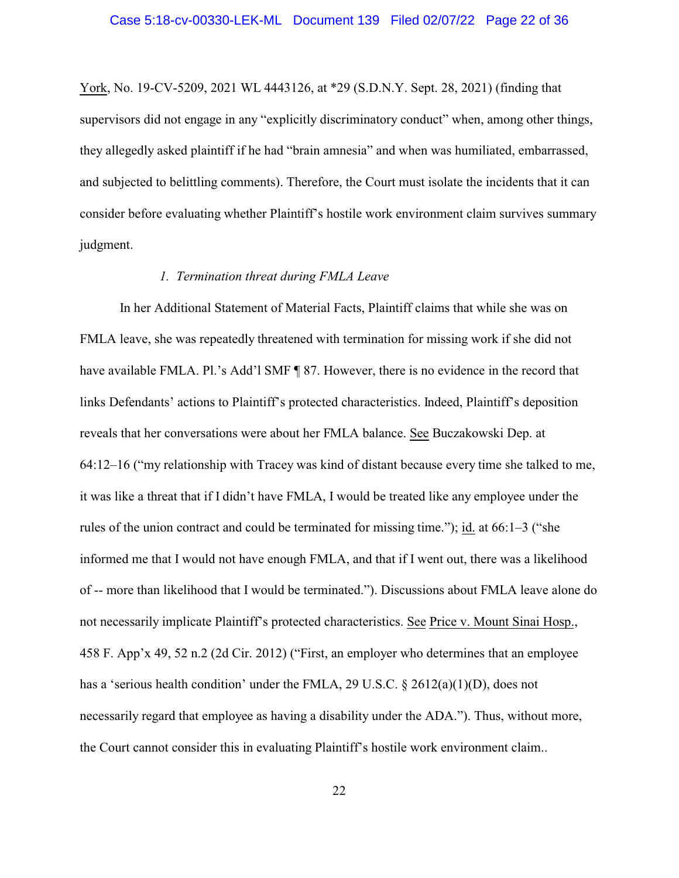York, No. 19-CV-5209, 2021 WL 4443126, at \*29 (S.D.N.Y. Sept. 28, 2021) (finding that supervisors did not engage in any "explicitly discriminatory conduct" when, among other things, they allegedly asked plaintiff if he had "brain amnesia" and when was humiliated, embarrassed, and subjected to belittling comments). Therefore, the Court must isolate the incidents that it can consider before evaluating whether Plaintiff's hostile work environment claim survives summary judgment.

# *1. Termination threat during FMLA Leave*

In her Additional Statement of Material Facts, Plaintiff claims that while she was on FMLA leave, she was repeatedly threatened with termination for missing work if she did not have available FMLA. Pl.'s Add'l SMF ¶ 87. However, there is no evidence in the record that links Defendants' actions to Plaintiff's protected characteristics. Indeed, Plaintiff's deposition reveals that her conversations were about her FMLA balance. See Buczakowski Dep. at 64:12–16 ("my relationship with Tracey was kind of distant because every time she talked to me, it was like a threat that if I didn't have FMLA, I would be treated like any employee under the rules of the union contract and could be terminated for missing time."); id. at 66:1–3 ("she informed me that I would not have enough FMLA, and that if I went out, there was a likelihood of -- more than likelihood that I would be terminated."). Discussions about FMLA leave alone do not necessarily implicate Plaintiff's protected characteristics. See Price v. Mount Sinai Hosp., 458 F. App'x 49, 52 n.2 (2d Cir. 2012) ("First, an employer who determines that an employee has a 'serious health condition' under the FMLA, 29 U.S.C. § 2612(a)(1)(D), does not necessarily regard that employee as having a disability under the ADA."). Thus, without more, the Court cannot consider this in evaluating Plaintiff's hostile work environment claim..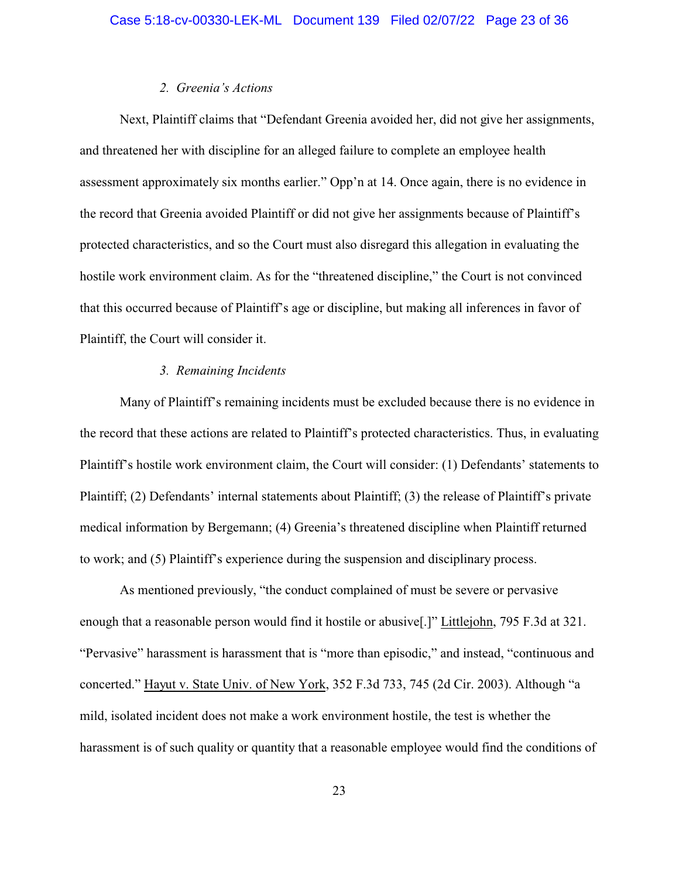### *2. Greenia's Actions*

Next, Plaintiff claims that "Defendant Greenia avoided her, did not give her assignments, and threatened her with discipline for an alleged failure to complete an employee health assessment approximately six months earlier." Opp'n at 14. Once again, there is no evidence in the record that Greenia avoided Plaintiff or did not give her assignments because of Plaintiff's protected characteristics, and so the Court must also disregard this allegation in evaluating the hostile work environment claim. As for the "threatened discipline," the Court is not convinced that this occurred because of Plaintiff's age or discipline, but making all inferences in favor of Plaintiff, the Court will consider it.

## *3. Remaining Incidents*

Many of Plaintiff's remaining incidents must be excluded because there is no evidence in the record that these actions are related to Plaintiff's protected characteristics. Thus, in evaluating Plaintiff's hostile work environment claim, the Court will consider: (1) Defendants' statements to Plaintiff; (2) Defendants' internal statements about Plaintiff; (3) the release of Plaintiff's private medical information by Bergemann; (4) Greenia's threatened discipline when Plaintiff returned to work; and (5) Plaintiff's experience during the suspension and disciplinary process.

As mentioned previously, "the conduct complained of must be severe or pervasive enough that a reasonable person would find it hostile or abusive[.]" Littlejohn, 795 F.3d at 321. "Pervasive" harassment is harassment that is "more than episodic," and instead, "continuous and concerted." Hayut v. State Univ. of New York, 352 F.3d 733, 745 (2d Cir. 2003). Although "a mild, isolated incident does not make a work environment hostile, the test is whether the harassment is of such quality or quantity that a reasonable employee would find the conditions of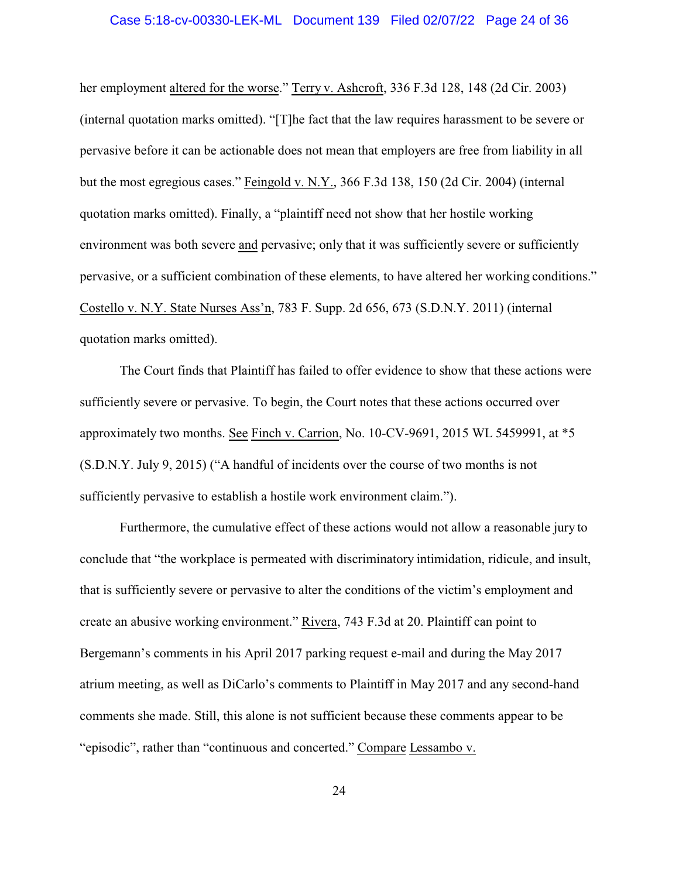#### Case 5:18-cv-00330-LEK-ML Document 139 Filed 02/07/22 Page 24 of 36

her employment altered for the worse." Terry v. Ashcroft, 336 F.3d 128, 148 (2d Cir. 2003) (internal quotation marks omitted). "[T]he fact that the law requires harassment to be severe or pervasive before it can be actionable does not mean that employers are free from liability in all but the most egregious cases." Feingold v. N.Y., 366 F.3d 138, 150 (2d Cir. 2004) (internal quotation marks omitted). Finally, a "plaintiff need not show that her hostile working environment was both severe and pervasive; only that it was sufficiently severe or sufficiently pervasive, or a sufficient combination of these elements, to have altered her working conditions." Costello v. N.Y. State Nurses Ass'n, 783 F. Supp. 2d 656, 673 (S.D.N.Y. 2011) (internal quotation marks omitted).

The Court finds that Plaintiff has failed to offer evidence to show that these actions were sufficiently severe or pervasive. To begin, the Court notes that these actions occurred over approximately two months. See Finch v. Carrion, No. 10-CV-9691, 2015 WL 5459991, at \*5 (S.D.N.Y. July 9, 2015) ("A handful of incidents over the course of two months is not sufficiently pervasive to establish a hostile work environment claim.").

Furthermore, the cumulative effect of these actions would not allow a reasonable jury to conclude that "the workplace is permeated with discriminatory intimidation, ridicule, and insult, that is sufficiently severe or pervasive to alter the conditions of the victim's employment and create an abusive working environment." Rivera, 743 F.3d at 20. Plaintiff can point to Bergemann's comments in his April 2017 parking request e-mail and during the May 2017 atrium meeting, as well as DiCarlo's comments to Plaintiff in May 2017 and any second-hand comments she made. Still, this alone is not sufficient because these comments appear to be "episodic", rather than "continuous and concerted." Compare Lessambo v.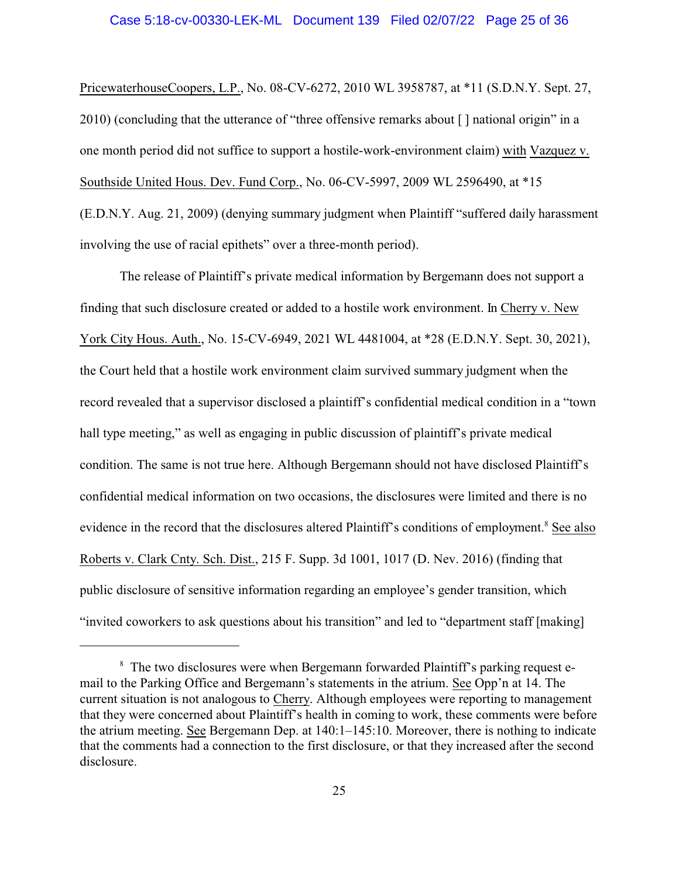#### Case 5:18-cv-00330-LEK-ML Document 139 Filed 02/07/22 Page 25 of 36

PricewaterhouseCoopers, L.P., No. 08-CV-6272, 2010 WL 3958787, at \*11 (S.D.N.Y. Sept. 27, 2010) (concluding that the utterance of "three offensive remarks about [ ] national origin" in a one month period did not suffice to support a hostile-work-environment claim) with Vazquez v. Southside United Hous. Dev. Fund Corp., No. 06-CV-5997, 2009 WL 2596490, at \*15 (E.D.N.Y. Aug. 21, 2009) (denying summary judgment when Plaintiff "suffered daily harassment involving the use of racial epithets" over a three-month period).

The release of Plaintiff's private medical information by Bergemann does not support a finding that such disclosure created or added to a hostile work environment. In Cherry v. New York City Hous. Auth., No. 15-CV-6949, 2021 WL 4481004, at \*28 (E.D.N.Y. Sept. 30, 2021), the Court held that a hostile work environment claim survived summary judgment when the record revealed that a supervisor disclosed a plaintiff's confidential medical condition in a "town hall type meeting," as well as engaging in public discussion of plaintiff's private medical condition. The same is not true here. Although Bergemann should not have disclosed Plaintiff's confidential medical information on two occasions, the disclosures were limited and there is no evidence in the record that the disclosures altered Plaintiff's conditions of employment.<sup>8</sup> See also Roberts v. Clark Cnty. Sch. Dist., 215 F. Supp. 3d 1001, 1017 (D. Nev. 2016) (finding that public disclosure of sensitive information regarding an employee's gender transition, which "invited coworkers to ask questions about his transition" and led to "department staff [making]

<sup>&</sup>lt;sup>8</sup> The two disclosures were when Bergemann forwarded Plaintiff's parking request email to the Parking Office and Bergemann's statements in the atrium. See Opp'n at 14. The current situation is not analogous to Cherry. Although employees were reporting to management that they were concerned about Plaintiff's health in coming to work, these comments were before the atrium meeting. See Bergemann Dep. at 140:1–145:10. Moreover, there is nothing to indicate that the comments had a connection to the first disclosure, or that they increased after the second disclosure.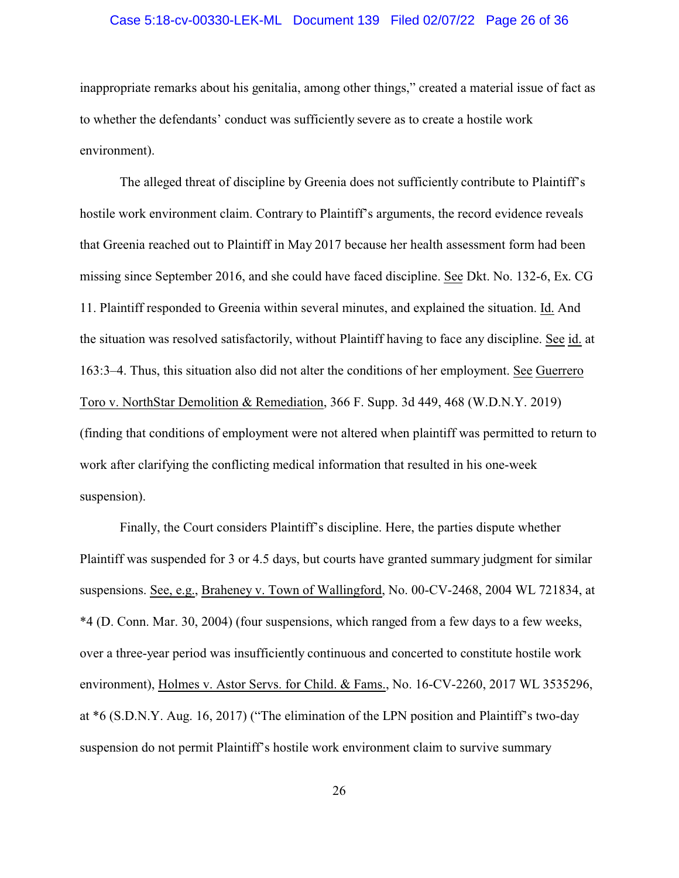#### Case 5:18-cv-00330-LEK-ML Document 139 Filed 02/07/22 Page 26 of 36

inappropriate remarks about his genitalia, among other things," created a material issue of fact as to whether the defendants' conduct was sufficiently severe as to create a hostile work environment).

The alleged threat of discipline by Greenia does not sufficiently contribute to Plaintiff's hostile work environment claim. Contrary to Plaintiff's arguments, the record evidence reveals that Greenia reached out to Plaintiff in May 2017 because her health assessment form had been missing since September 2016, and she could have faced discipline. See Dkt. No. 132-6, Ex. CG 11. Plaintiff responded to Greenia within several minutes, and explained the situation. Id. And the situation was resolved satisfactorily, without Plaintiff having to face any discipline. See id. at 163:3–4. Thus, this situation also did not alter the conditions of her employment. See Guerrero Toro v. NorthStar Demolition & Remediation, 366 F. Supp. 3d 449, 468 (W.D.N.Y. 2019) (finding that conditions of employment were not altered when plaintiff was permitted to return to work after clarifying the conflicting medical information that resulted in his one-week suspension).

Finally, the Court considers Plaintiff's discipline. Here, the parties dispute whether Plaintiff was suspended for 3 or 4.5 days, but courts have granted summary judgment for similar suspensions. See, e.g., Braheney v. Town of Wallingford, No. 00-CV-2468, 2004 WL 721834, at \*4 (D. Conn. Mar. 30, 2004) (four suspensions, which ranged from a few days to a few weeks, over a three-year period was insufficiently continuous and concerted to constitute hostile work environment), Holmes v. Astor Servs. for Child. & Fams., No. 16-CV-2260, 2017 WL 3535296, at \*6 (S.D.N.Y. Aug. 16, 2017) ("The elimination of the LPN position and Plaintiff's two-day suspension do not permit Plaintiff's hostile work environment claim to survive summary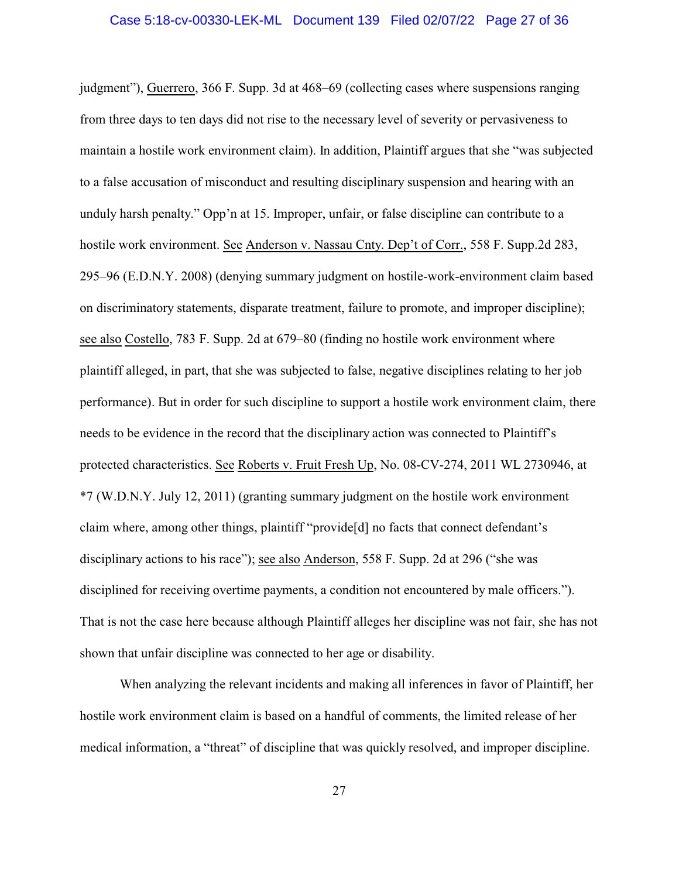judgment"), Guerrero, 366 F. Supp. 3d at 468–69 (collecting cases where suspensions ranging from three days to ten days did not rise to the necessary level of severity or pervasiveness to maintain a hostile work environment claim). In addition, Plaintiff argues that she "was subjected to a false accusation of misconduct and resulting disciplinary suspension and hearing with an unduly harsh penalty." Opp'n at 15. Improper, unfair, or false discipline can contribute to a hostile work environment. See Anderson v. Nassau Cnty. Dep't of Corr., 558 F. Supp.2d 283, 295–96 (E.D.N.Y. 2008) (denying summary judgment on hostile-work-environment claim based on discriminatory statements, disparate treatment, failure to promote, and improper discipline); see also Costello, 783 F. Supp. 2d at 679–80 (finding no hostile work environment where plaintiff alleged, in part, that she was subjected to false, negative disciplines relating to her job performance). But in order for such discipline to support a hostile work environment claim, there needs to be evidence in the record that the disciplinary action was connected to Plaintiff's protected characteristics. See Roberts v. Fruit Fresh Up, No. 08-CV-274, 2011 WL 2730946, at \*7 (W.D.N.Y. July 12, 2011) (granting summary judgment on the hostile work environment claim where, among other things, plaintiff "provide[d] no facts that connect defendant's disciplinary actions to his race"); see also Anderson, 558 F. Supp. 2d at 296 ("she was disciplined for receiving overtime payments, a condition not encountered by male officers."). That is not the case here because although Plaintiff alleges her discipline was not fair, she has not shown that unfair discipline was connected to her age or disability.

When analyzing the relevant incidents and making all inferences in favor of Plaintiff, her hostile work environment claim is based on a handful of comments, the limited release of her medical information, a "threat" of discipline that was quickly resolved, and improper discipline.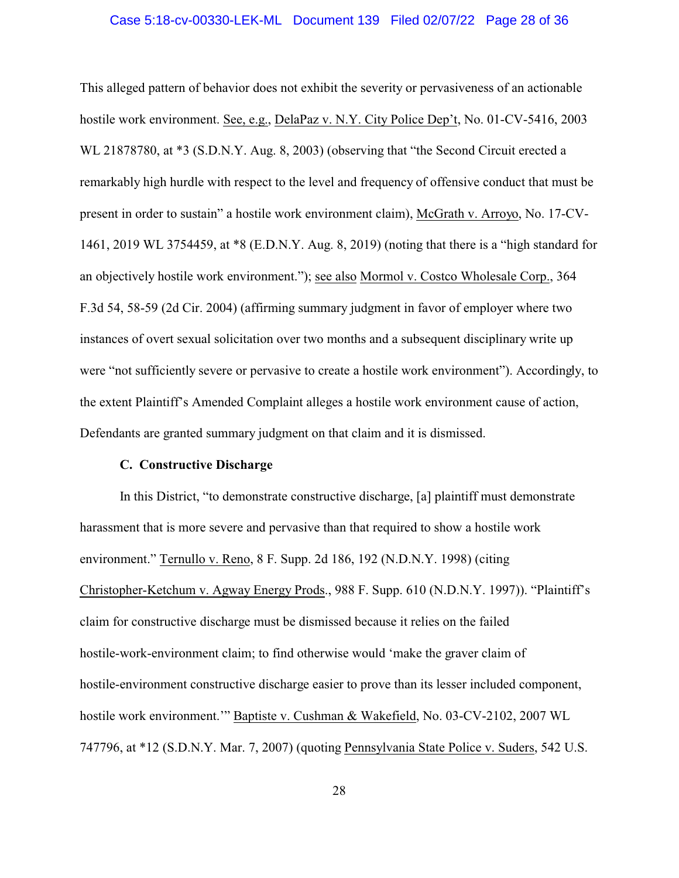#### Case 5:18-cv-00330-LEK-ML Document 139 Filed 02/07/22 Page 28 of 36

This alleged pattern of behavior does not exhibit the severity or pervasiveness of an actionable hostile work environment. See, e.g., DelaPaz v. N.Y. City Police Dep't, No. 01-CV-5416, 2003 WL 21878780, at \*3 (S.D.N.Y. Aug. 8, 2003) (observing that "the Second Circuit erected a remarkably high hurdle with respect to the level and frequency of offensive conduct that must be present in order to sustain" a hostile work environment claim), McGrath v. Arroyo, No. 17-CV-1461, 2019 WL 3754459, at \*8 (E.D.N.Y. Aug. 8, 2019) (noting that there is a "high standard for an objectively hostile work environment."); see also Mormol v. Costco Wholesale Corp., 364 F.3d 54, 58-59 (2d Cir. 2004) (affirming summary judgment in favor of employer where two instances of overt sexual solicitation over two months and a subsequent disciplinary write up were "not sufficiently severe or pervasive to create a hostile work environment"). Accordingly, to the extent Plaintiff's Amended Complaint alleges a hostile work environment cause of action, Defendants are granted summary judgment on that claim and it is dismissed.

# **C. Constructive Discharge**

In this District, "to demonstrate constructive discharge, [a] plaintiff must demonstrate harassment that is more severe and pervasive than that required to show a hostile work environment." Ternullo v. Reno, 8 F. Supp. 2d 186, 192 (N.D.N.Y. 1998) (citing Christopher-Ketchum v. Agway Energy Prods., 988 F. Supp. 610 (N.D.N.Y. 1997)). "Plaintiff's claim for constructive discharge must be dismissed because it relies on the failed hostile-work-environment claim; to find otherwise would 'make the graver claim of hostile-environment constructive discharge easier to prove than its lesser included component, hostile work environment.'" Baptiste v. Cushman & Wakefield, No. 03-CV-2102, 2007 WL 747796, at \*12 (S.D.N.Y. Mar. 7, 2007) (quoting Pennsylvania State Police v. Suders, 542 U.S.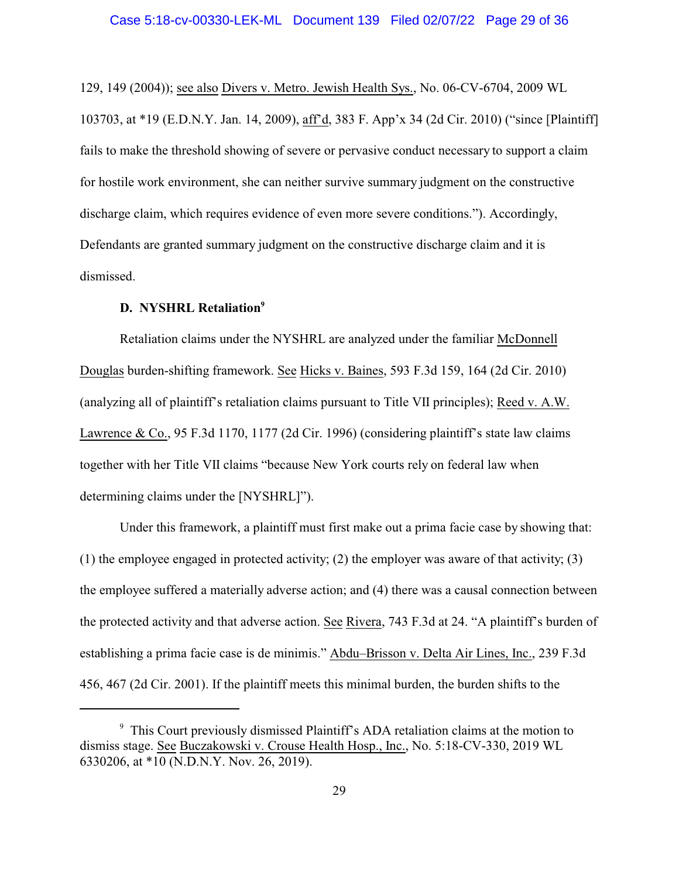129, 149 (2004)); see also Divers v. Metro. Jewish Health Sys., No. 06-CV-6704, 2009 WL 103703, at \*19 (E.D.N.Y. Jan. 14, 2009), aff'd, 383 F. App'x 34 (2d Cir. 2010) ("since [Plaintiff] fails to make the threshold showing of severe or pervasive conduct necessary to support a claim for hostile work environment, she can neither survive summary judgment on the constructive discharge claim, which requires evidence of even more severe conditions."). Accordingly, Defendants are granted summary judgment on the constructive discharge claim and it is dismissed.

# **D. NYSHRL Retaliation<sup>9</sup>**

Retaliation claims under the NYSHRL are analyzed under the familiar McDonnell Douglas burden-shifting framework. See Hicks v. Baines, 593 F.3d 159, 164 (2d Cir. 2010) (analyzing all of plaintiff's retaliation claims pursuant to Title VII principles); Reed v. A.W. Lawrence & Co., 95 F.3d 1170, 1177 (2d Cir. 1996) (considering plaintiff's state law claims together with her Title VII claims "because New York courts rely on federal law when determining claims under the [NYSHRL]").

Under this framework, a plaintiff must first make out a prima facie case by showing that: (1) the employee engaged in protected activity; (2) the employer was aware of that activity; (3) the employee suffered a materially adverse action; and (4) there was a causal connection between the protected activity and that adverse action. See Rivera, 743 F.3d at 24. "A plaintiff's burden of establishing a prima facie case is de minimis." Abdu–Brisson v. Delta Air Lines, Inc., 239 F.3d 456, 467 (2d Cir. 2001). If the plaintiff meets this minimal burden, the burden shifts to the

<sup>9</sup> This Court previously dismissed Plaintiff's ADA retaliation claims at the motion to dismiss stage. See Buczakowski v. Crouse Health Hosp., Inc., No. 5:18-CV-330, 2019 WL 6330206, at \*10 (N.D.N.Y. Nov. 26, 2019).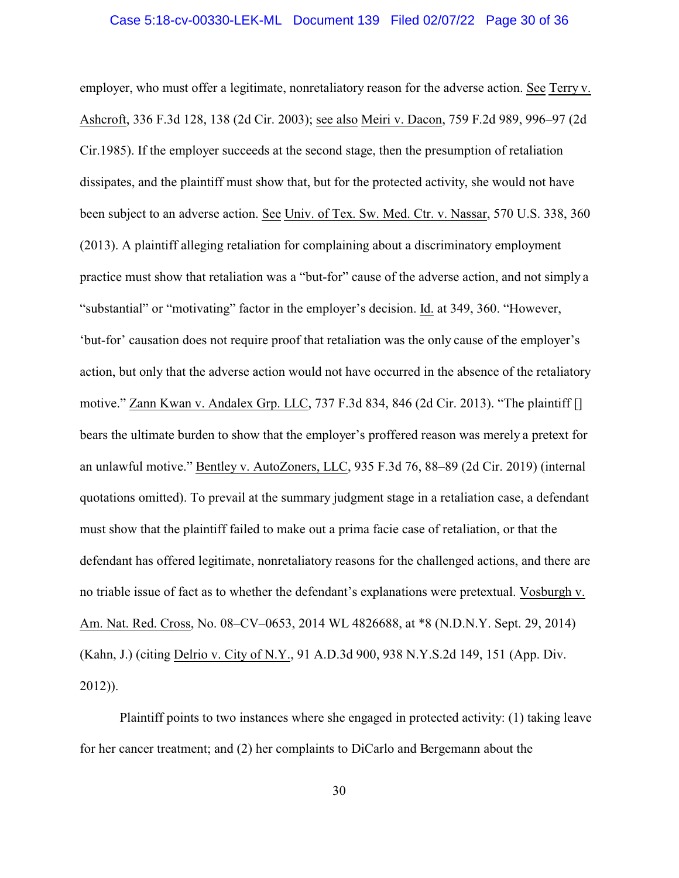#### Case 5:18-cv-00330-LEK-ML Document 139 Filed 02/07/22 Page 30 of 36

employer, who must offer a legitimate, nonretaliatory reason for the adverse action. See Terry v. Ashcroft, 336 F.3d 128, 138 (2d Cir. 2003); see also Meiri v. Dacon, 759 F.2d 989, 996–97 (2d Cir.1985). If the employer succeeds at the second stage, then the presumption of retaliation dissipates, and the plaintiff must show that, but for the protected activity, she would not have been subject to an adverse action. See Univ. of Tex. Sw. Med. Ctr. v. Nassar, 570 U.S. 338, 360 (2013). A plaintiff alleging retaliation for complaining about a discriminatory employment practice must show that retaliation was a "but-for" cause of the adverse action, and not simply a "substantial" or "motivating" factor in the employer's decision. Id. at 349, 360. "However, 'but-for' causation does not require proof that retaliation was the only cause of the employer's action, but only that the adverse action would not have occurred in the absence of the retaliatory motive." Zann Kwan v. Andalex Grp. LLC, 737 F.3d 834, 846 (2d Cir. 2013). "The plaintiff [] bears the ultimate burden to show that the employer's proffered reason was merely a pretext for an unlawful motive." Bentley v. AutoZoners, LLC, 935 F.3d 76, 88–89 (2d Cir. 2019) (internal quotations omitted). To prevail at the summary judgment stage in a retaliation case, a defendant must show that the plaintiff failed to make out a prima facie case of retaliation, or that the defendant has offered legitimate, nonretaliatory reasons for the challenged actions, and there are no triable issue of fact as to whether the defendant's explanations were pretextual. Vosburgh v. Am. Nat. Red. Cross, No. 08–CV–0653, 2014 WL 4826688, at \*8 (N.D.N.Y. Sept. 29, 2014) (Kahn, J.) (citing Delrio v. City of N.Y., 91 A.D.3d 900, 938 N.Y.S.2d 149, 151 (App. Div. 2012)).

Plaintiff points to two instances where she engaged in protected activity: (1) taking leave for her cancer treatment; and (2) her complaints to DiCarlo and Bergemann about the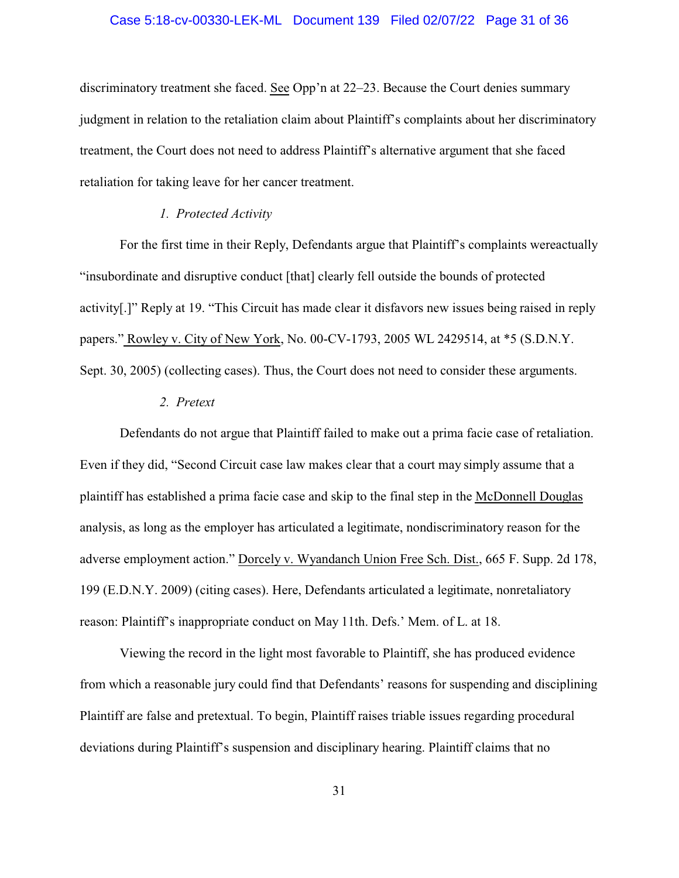#### Case 5:18-cv-00330-LEK-ML Document 139 Filed 02/07/22 Page 31 of 36

discriminatory treatment she faced. See Opp'n at 22–23. Because the Court denies summary judgment in relation to the retaliation claim about Plaintiff's complaints about her discriminatory treatment, the Court does not need to address Plaintiff's alternative argument that she faced retaliation for taking leave for her cancer treatment.

### *1. Protected Activity*

For the first time in their Reply, Defendants argue that Plaintiff's complaints wereactually "insubordinate and disruptive conduct [that] clearly fell outside the bounds of protected activity[.]" Reply at 19. "This Circuit has made clear it disfavors new issues being raised in reply papers." Rowley v. City of New York, No. 00-CV-1793, 2005 WL 2429514, at \*5 (S.D.N.Y. Sept. 30, 2005) (collecting cases). Thus, the Court does not need to consider these arguments.

### *2. Pretext*

Defendants do not argue that Plaintiff failed to make out a prima facie case of retaliation. Even if they did, "Second Circuit case law makes clear that a court may simply assume that a plaintiff has established a prima facie case and skip to the final step in the McDonnell Douglas analysis, as long as the employer has articulated a legitimate, nondiscriminatory reason for the adverse employment action." Dorcely v. Wyandanch Union Free Sch. Dist., 665 F. Supp. 2d 178, 199 (E.D.N.Y. 2009) (citing cases). Here, Defendants articulated a legitimate, nonretaliatory reason: Plaintiff's inappropriate conduct on May 11th. Defs.' Mem. of L. at 18.

Viewing the record in the light most favorable to Plaintiff, she has produced evidence from which a reasonable jury could find that Defendants' reasons for suspending and disciplining Plaintiff are false and pretextual. To begin, Plaintiff raises triable issues regarding procedural deviations during Plaintiff's suspension and disciplinary hearing. Plaintiff claims that no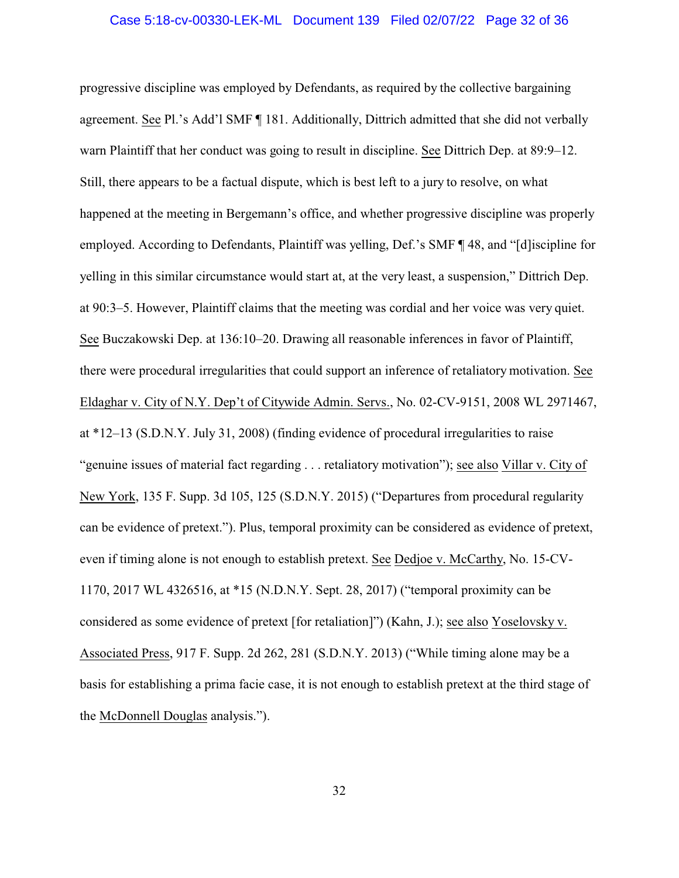#### Case 5:18-cv-00330-LEK-ML Document 139 Filed 02/07/22 Page 32 of 36

progressive discipline was employed by Defendants, as required by the collective bargaining agreement. See Pl.'s Add'l SMF ¶ 181. Additionally, Dittrich admitted that she did not verbally warn Plaintiff that her conduct was going to result in discipline. See Dittrich Dep. at 89:9–12. Still, there appears to be a factual dispute, which is best left to a jury to resolve, on what happened at the meeting in Bergemann's office, and whether progressive discipline was properly employed. According to Defendants, Plaintiff was yelling, Def.'s SMF ¶ 48, and "[d]iscipline for yelling in this similar circumstance would start at, at the very least, a suspension," Dittrich Dep. at 90:3–5. However, Plaintiff claims that the meeting was cordial and her voice was very quiet. See Buczakowski Dep. at 136:10–20. Drawing all reasonable inferences in favor of Plaintiff, there were procedural irregularities that could support an inference of retaliatory motivation. See Eldaghar v. City of N.Y. Dep't of Citywide Admin. Servs., No. 02-CV-9151, 2008 WL 2971467, at \*12–13 (S.D.N.Y. July 31, 2008) (finding evidence of procedural irregularities to raise "genuine issues of material fact regarding . . . retaliatory motivation"); see also Villar v. City of New York, 135 F. Supp. 3d 105, 125 (S.D.N.Y. 2015) ("Departures from procedural regularity can be evidence of pretext."). Plus, temporal proximity can be considered as evidence of pretext, even if timing alone is not enough to establish pretext. See Dedjoe v. McCarthy, No. 15-CV-1170, 2017 WL 4326516, at \*15 (N.D.N.Y. Sept. 28, 2017) ("temporal proximity can be considered as some evidence of pretext [for retaliation]") (Kahn, J.); see also Yoselovsky v. Associated Press, 917 F. Supp. 2d 262, 281 (S.D.N.Y. 2013) ("While timing alone may be a basis for establishing a prima facie case, it is not enough to establish pretext at the third stage of the McDonnell Douglas analysis.").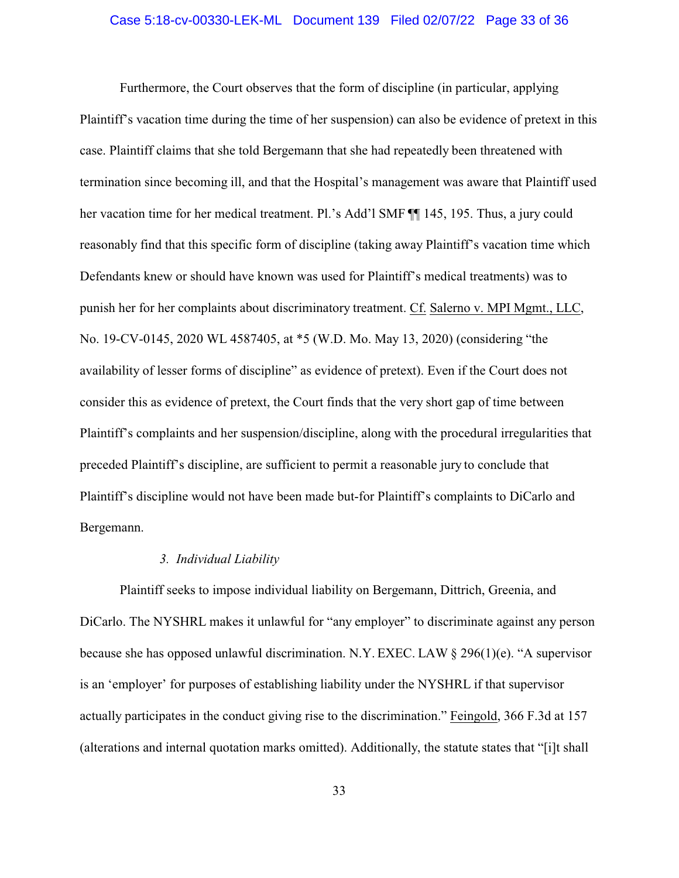#### Case 5:18-cv-00330-LEK-ML Document 139 Filed 02/07/22 Page 33 of 36

Furthermore, the Court observes that the form of discipline (in particular, applying Plaintiff's vacation time during the time of her suspension) can also be evidence of pretext in this case. Plaintiff claims that she told Bergemann that she had repeatedly been threatened with termination since becoming ill, and that the Hospital's management was aware that Plaintiff used her vacation time for her medical treatment. Pl.'s Add'l SMF ¶¶ 145, 195. Thus, a jury could reasonably find that this specific form of discipline (taking away Plaintiff's vacation time which Defendants knew or should have known was used for Plaintiff's medical treatments) was to punish her for her complaints about discriminatory treatment. Cf. Salerno v. MPI Mgmt., LLC, No. 19-CV-0145, 2020 WL 4587405, at \*5 (W.D. Mo. May 13, 2020) (considering "the availability of lesser forms of discipline" as evidence of pretext). Even if the Court does not consider this as evidence of pretext, the Court finds that the very short gap of time between Plaintiff's complaints and her suspension/discipline, along with the procedural irregularities that preceded Plaintiff's discipline, are sufficient to permit a reasonable jury to conclude that Plaintiff's discipline would not have been made but-for Plaintiff's complaints to DiCarlo and Bergemann.

### *3. Individual Liability*

Plaintiff seeks to impose individual liability on Bergemann, Dittrich, Greenia, and DiCarlo. The NYSHRL makes it unlawful for "any employer" to discriminate against any person because she has opposed unlawful discrimination. N.Y. EXEC. LAW § 296(1)(e). "A supervisor is an 'employer' for purposes of establishing liability under the NYSHRL if that supervisor actually participates in the conduct giving rise to the discrimination." Feingold, 366 F.3d at 157 (alterations and internal quotation marks omitted). Additionally, the statute states that "[i]t shall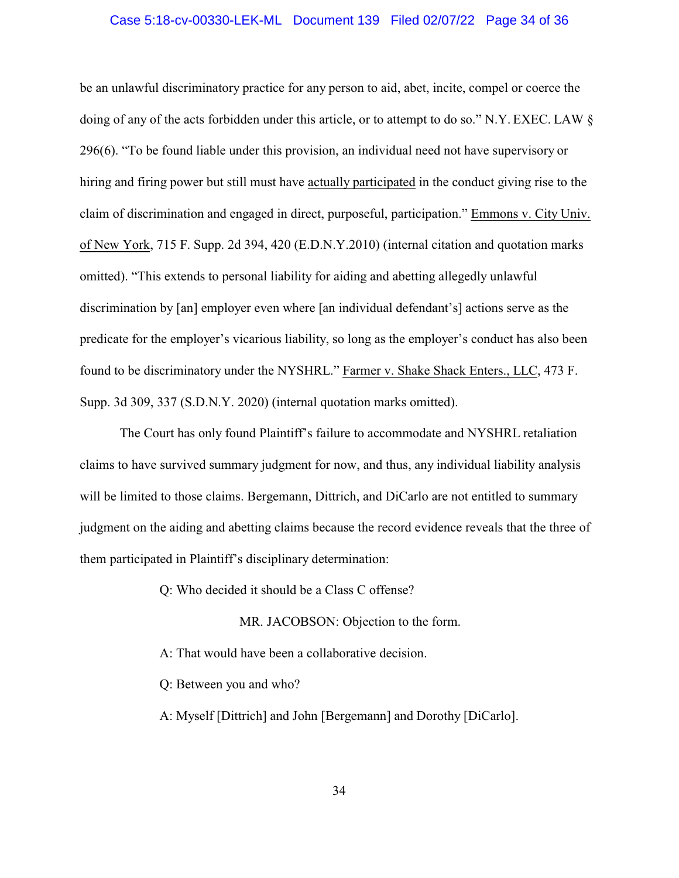#### Case 5:18-cv-00330-LEK-ML Document 139 Filed 02/07/22 Page 34 of 36

be an unlawful discriminatory practice for any person to aid, abet, incite, compel or coerce the doing of any of the acts forbidden under this article, or to attempt to do so." N.Y. EXEC. LAW § 296(6). "To be found liable under this provision, an individual need not have supervisory or hiring and firing power but still must have actually participated in the conduct giving rise to the claim of discrimination and engaged in direct, purposeful, participation." Emmons v. City Univ. of New York, 715 F. Supp. 2d 394, 420 (E.D.N.Y.2010) (internal citation and quotation marks omitted). "This extends to personal liability for aiding and abetting allegedly unlawful discrimination by [an] employer even where [an individual defendant's] actions serve as the predicate for the employer's vicarious liability, so long as the employer's conduct has also been found to be discriminatory under the NYSHRL." Farmer v. Shake Shack Enters., LLC, 473 F. Supp. 3d 309, 337 (S.D.N.Y. 2020) (internal quotation marks omitted).

The Court has only found Plaintiff's failure to accommodate and NYSHRL retaliation claims to have survived summary judgment for now, and thus, any individual liability analysis will be limited to those claims. Bergemann, Dittrich, and DiCarlo are not entitled to summary judgment on the aiding and abetting claims because the record evidence reveals that the three of them participated in Plaintiff's disciplinary determination:

Q: Who decided it should be a Class C offense?

MR. JACOBSON: Objection to the form.

A: That would have been a collaborative decision.

Q: Between you and who?

A: Myself [Dittrich] and John [Bergemann] and Dorothy [DiCarlo].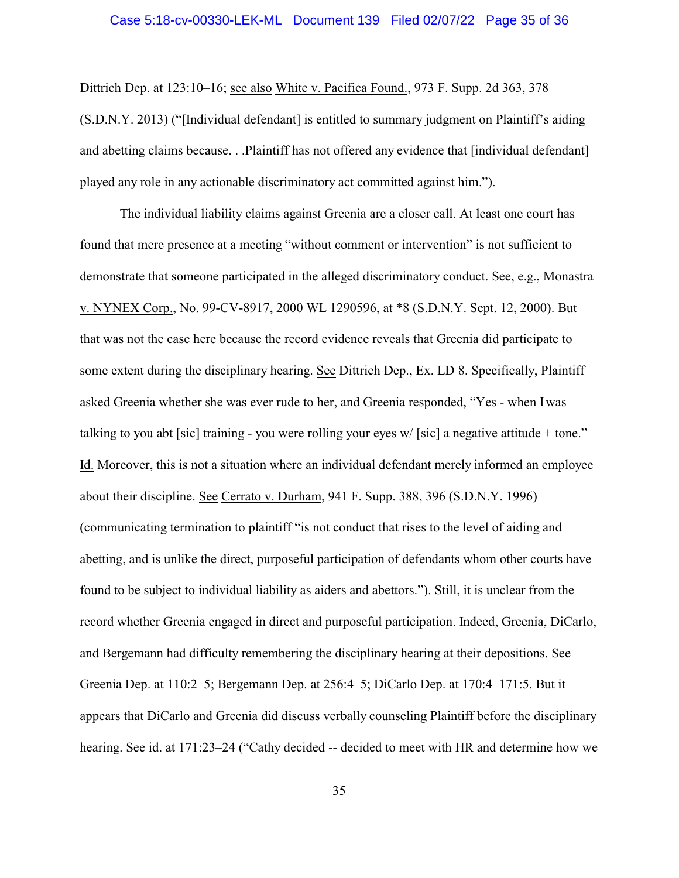#### Case 5:18-cv-00330-LEK-ML Document 139 Filed 02/07/22 Page 35 of 36

Dittrich Dep. at 123:10–16; see also White v. Pacifica Found., 973 F. Supp. 2d 363, 378 (S.D.N.Y. 2013) ("[Individual defendant] is entitled to summary judgment on Plaintiff's aiding and abetting claims because. . .Plaintiff has not offered any evidence that [individual defendant] played any role in any actionable discriminatory act committed against him.").

The individual liability claims against Greenia are a closer call. At least one court has found that mere presence at a meeting "without comment or intervention" is not sufficient to demonstrate that someone participated in the alleged discriminatory conduct. See, e.g., Monastra v. NYNEX Corp., No. 99-CV-8917, 2000 WL 1290596, at \*8 (S.D.N.Y. Sept. 12, 2000). But that was not the case here because the record evidence reveals that Greenia did participate to some extent during the disciplinary hearing. See Dittrich Dep., Ex. LD 8. Specifically, Plaintiff asked Greenia whether she was ever rude to her, and Greenia responded, "Yes - when I was talking to you abt [sic] training - you were rolling your eyes w/ [sic] a negative attitude + tone." Id. Moreover, this is not a situation where an individual defendant merely informed an employee about their discipline. See Cerrato v. Durham, 941 F. Supp. 388, 396 (S.D.N.Y. 1996) (communicating termination to plaintiff "is not conduct that rises to the level of aiding and abetting, and is unlike the direct, purposeful participation of defendants whom other courts have found to be subject to individual liability as aiders and abettors."). Still, it is unclear from the record whether Greenia engaged in direct and purposeful participation. Indeed, Greenia, DiCarlo, and Bergemann had difficulty remembering the disciplinary hearing at their depositions. See Greenia Dep. at 110:2–5; Bergemann Dep. at 256:4–5; DiCarlo Dep. at 170:4–171:5. But it appears that DiCarlo and Greenia did discuss verbally counseling Plaintiff before the disciplinary hearing. See id. at 171:23–24 ("Cathy decided -- decided to meet with HR and determine how we